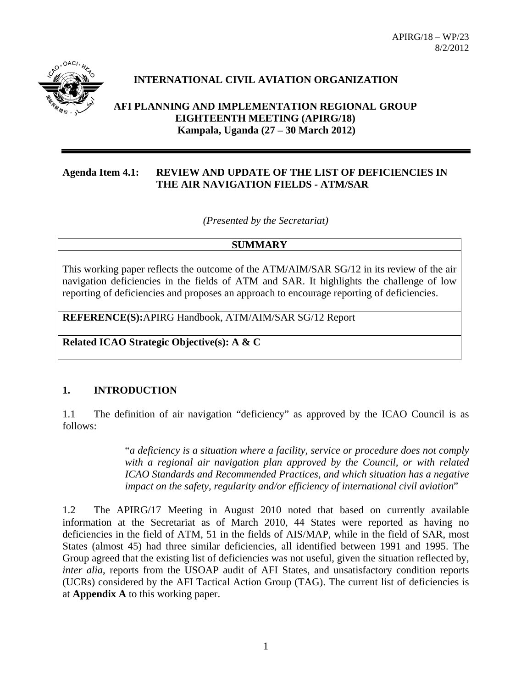APIRG/18 – WP/23 8/2/2012



## **INTERNATIONAL CIVIL AVIATION ORGANIZATION**

**AFI PLANNING AND IMPLEMENTATION REGIONAL GROUP EIGHTEENTH MEETING (APIRG/18) Kampala, Uganda (27 – 30 March 2012)**

### **Agenda Item 4.1: REVIEW AND UPDATE OF THE LIST OF DEFICIENCIES IN THE AIR NAVIGATION FIELDS - ATM/SAR**

*(Presented by the Secretariat)* 

#### **SUMMARY**

This working paper reflects the outcome of the ATM/AIM/SAR SG/12 in its review of the air navigation deficiencies in the fields of ATM and SAR. It highlights the challenge of low reporting of deficiencies and proposes an approach to encourage reporting of deficiencies.

**REFERENCE(S):**APIRG Handbook, ATM/AIM/SAR SG/12 Report

**Related ICAO Strategic Objective(s): A & C** 

#### **1. INTRODUCTION**

1.1 The definition of air navigation "deficiency" as approved by the ICAO Council is as follows:

> "*a deficiency is a situation where a facility, service or procedure does not comply with a regional air navigation plan approved by the Council, or with related ICAO Standards and Recommended Practices, and which situation has a negative impact on the safety, regularity and/or efficiency of international civil aviation*"

1.2 The APIRG/17 Meeting in August 2010 noted that based on currently available information at the Secretariat as of March 2010, 44 States were reported as having no deficiencies in the field of ATM, 51 in the fields of AIS/MAP, while in the field of SAR, most States (almost 45) had three similar deficiencies, all identified between 1991 and 1995. The Group agreed that the existing list of deficiencies was not useful, given the situation reflected by, *inter alia*, reports from the USOAP audit of AFI States, and unsatisfactory condition reports (UCRs) considered by the AFI Tactical Action Group (TAG). The current list of deficiencies is at **Appendix A** to this working paper.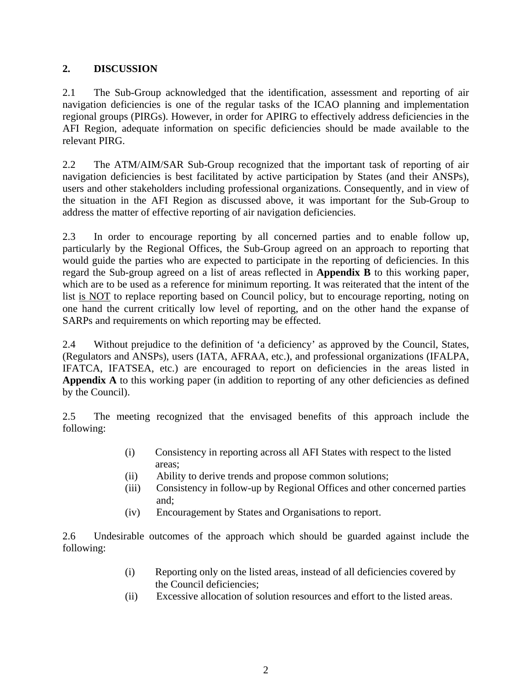## **2. DISCUSSION**

2.1 The Sub-Group acknowledged that the identification, assessment and reporting of air navigation deficiencies is one of the regular tasks of the ICAO planning and implementation regional groups (PIRGs). However, in order for APIRG to effectively address deficiencies in the AFI Region, adequate information on specific deficiencies should be made available to the relevant PIRG.

2.2 The ATM/AIM/SAR Sub-Group recognized that the important task of reporting of air navigation deficiencies is best facilitated by active participation by States (and their ANSPs), users and other stakeholders including professional organizations. Consequently, and in view of the situation in the AFI Region as discussed above, it was important for the Sub-Group to address the matter of effective reporting of air navigation deficiencies.

2.3 In order to encourage reporting by all concerned parties and to enable follow up, particularly by the Regional Offices, the Sub-Group agreed on an approach to reporting that would guide the parties who are expected to participate in the reporting of deficiencies. In this regard the Sub-group agreed on a list of areas reflected in **Appendix B** to this working paper, which are to be used as a reference for minimum reporting. It was reiterated that the intent of the list is NOT to replace reporting based on Council policy, but to encourage reporting, noting on one hand the current critically low level of reporting, and on the other hand the expanse of SARPs and requirements on which reporting may be effected.

2.4 Without prejudice to the definition of 'a deficiency' as approved by the Council, States, (Regulators and ANSPs), users (IATA, AFRAA, etc.), and professional organizations (IFALPA, IFATCA, IFATSEA, etc.) are encouraged to report on deficiencies in the areas listed in **Appendix A** to this working paper (in addition to reporting of any other deficiencies as defined by the Council).

2.5 The meeting recognized that the envisaged benefits of this approach include the following:

- (i) Consistency in reporting across all AFI States with respect to the listed areas;
- (ii) Ability to derive trends and propose common solutions;
- (iii) Consistency in follow-up by Regional Offices and other concerned parties and;
- (iv) Encouragement by States and Organisations to report.

2.6 Undesirable outcomes of the approach which should be guarded against include the following:

- (i) Reporting only on the listed areas, instead of all deficiencies covered by the Council deficiencies;
- (ii) Excessive allocation of solution resources and effort to the listed areas.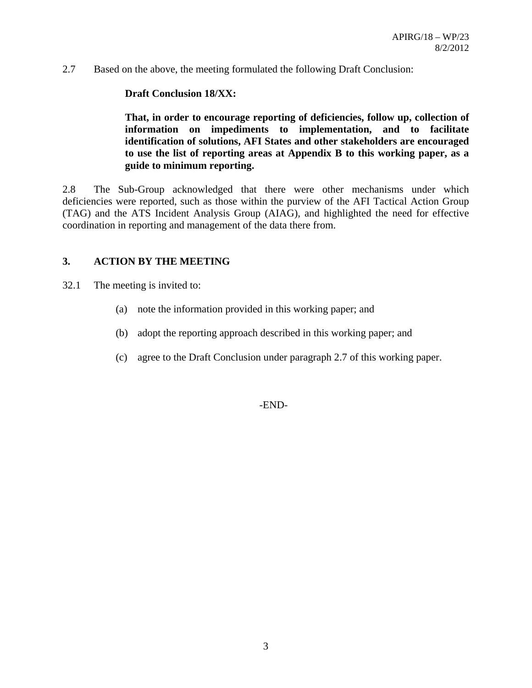2.7 Based on the above, the meeting formulated the following Draft Conclusion:

### **Draft Conclusion 18/XX:**

**That, in order to encourage reporting of deficiencies, follow up, collection of information on impediments to implementation, and to facilitate identification of solutions, AFI States and other stakeholders are encouraged to use the list of reporting areas at Appendix B to this working paper, as a guide to minimum reporting.** 

2.8 The Sub-Group acknowledged that there were other mechanisms under which deficiencies were reported, such as those within the purview of the AFI Tactical Action Group (TAG) and the ATS Incident Analysis Group (AIAG), and highlighted the need for effective coordination in reporting and management of the data there from.

#### **3. ACTION BY THE MEETING**

- 32.1 The meeting is invited to:
	- (a) note the information provided in this working paper; and
	- (b) adopt the reporting approach described in this working paper; and
	- (c) agree to the Draft Conclusion under paragraph 2.7 of this working paper.

-END-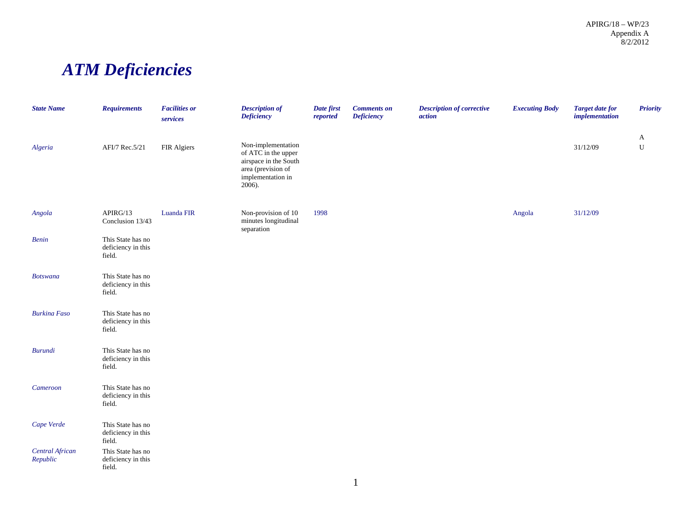APIRG/18 – WP/23 Appendix A 8/2/2012

# *ATM Deficiencies*

| <b>State Name</b>           | <b>Requirements</b>                               | <b>Facilities or</b><br>services | <b>Description of</b><br><b>Deficiency</b>                                                                              | Date first<br>reported | <b>Comments</b> on<br><b>Deficiency</b> | <b>Description of corrective</b><br>action | <b>Executing Body</b> | <b>Target date for</b><br>implementation | <b>Priority</b>  |
|-----------------------------|---------------------------------------------------|----------------------------------|-------------------------------------------------------------------------------------------------------------------------|------------------------|-----------------------------------------|--------------------------------------------|-----------------------|------------------------------------------|------------------|
| Algeria                     | AFI/7 Rec.5/21                                    | FIR Algiers                      | Non-implementation<br>of ATC in the upper<br>airspace in the South<br>area (prevision of<br>implementation in<br>2006). |                        |                                         |                                            |                       | 31/12/09                                 | A<br>$\mathbf U$ |
| Angola                      | APIRG/13<br>Conclusion 13/43                      | Luanda FIR                       | Non-provision of 10<br>minutes longitudinal<br>separation                                                               | 1998                   |                                         |                                            | Angola                | 31/12/09                                 |                  |
| <b>Benin</b>                | This State has no<br>deficiency in this<br>field. |                                  |                                                                                                                         |                        |                                         |                                            |                       |                                          |                  |
| <b>Botswana</b>             | This State has no<br>deficiency in this<br>field. |                                  |                                                                                                                         |                        |                                         |                                            |                       |                                          |                  |
| <b>Burkina Faso</b>         | This State has no<br>deficiency in this<br>field. |                                  |                                                                                                                         |                        |                                         |                                            |                       |                                          |                  |
| <b>Burundi</b>              | This State has no<br>deficiency in this<br>field. |                                  |                                                                                                                         |                        |                                         |                                            |                       |                                          |                  |
| Cameroon                    | This State has no<br>deficiency in this<br>field. |                                  |                                                                                                                         |                        |                                         |                                            |                       |                                          |                  |
| Cape Verde                  | This State has no<br>deficiency in this<br>field. |                                  |                                                                                                                         |                        |                                         |                                            |                       |                                          |                  |
| Central African<br>Republic | This State has no<br>deficiency in this<br>field. |                                  |                                                                                                                         |                        |                                         |                                            |                       |                                          |                  |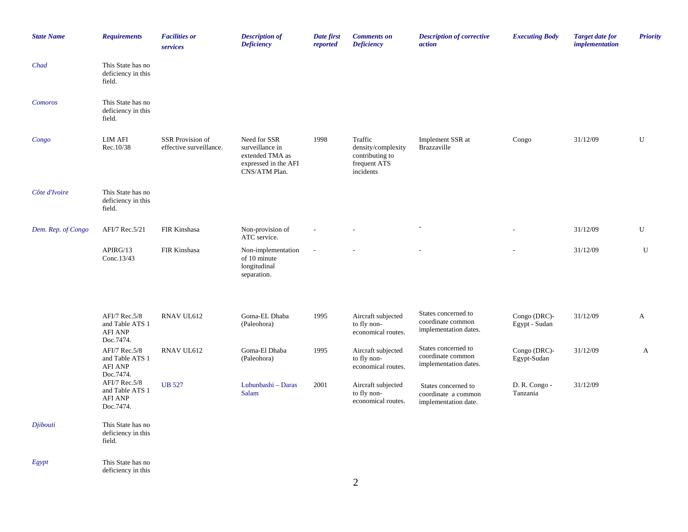| <b>State Name</b>  | <b>Requirements</b>                                             | <b>Facilities</b> or<br>services            | <b>Description of</b><br><b>Deficiency</b>                                                  | Date first<br>reported | <b>Comments on</b><br><b>Deficiency</b>                                       | <b>Description of corrective</b><br>action                         | <b>Executing Body</b>         | <b>Target date for</b><br><i>implementation</i> | <b>Priority</b> |
|--------------------|-----------------------------------------------------------------|---------------------------------------------|---------------------------------------------------------------------------------------------|------------------------|-------------------------------------------------------------------------------|--------------------------------------------------------------------|-------------------------------|-------------------------------------------------|-----------------|
| Chad               | This State has no<br>deficiency in this<br>field.               |                                             |                                                                                             |                        |                                                                               |                                                                    |                               |                                                 |                 |
| Comoros            | This State has no<br>deficiency in this<br>field.               |                                             |                                                                                             |                        |                                                                               |                                                                    |                               |                                                 |                 |
| Congo              | <b>LIM AFI</b><br>Rec.10/38                                     | SSR Provision of<br>effective surveillance. | Need for SSR<br>surveillance in<br>extended TMA as<br>expressed in the AFI<br>CNS/ATM Plan. | 1998                   | Traffic<br>density/complexity<br>contributing to<br>frequent ATS<br>incidents | Implement SSR at<br>Brazzaville                                    | Congo                         | 31/12/09                                        | U               |
| Côte d'Ivoire      | This State has no<br>deficiency in this<br>field.               |                                             |                                                                                             |                        |                                                                               |                                                                    |                               |                                                 |                 |
| Dem. Rep. of Congo | AFI/7 Rec.5/21                                                  | FIR Kinshasa                                | Non-provision of<br>ATC service.                                                            |                        |                                                                               |                                                                    |                               | 31/12/09                                        | ${\bf U}$       |
|                    | APIRG/13<br>Conc.13/43                                          | FIR Kinshasa                                | Non-implementation<br>of 10 minute<br>longitudinal<br>separation.                           |                        |                                                                               |                                                                    |                               | 31/12/09                                        | U               |
|                    | AFI/7 Rec.5/8<br>and Table ATS 1<br><b>AFI ANP</b><br>Doc.7474. | RNAV UL612                                  | Goma-EL Dhaba<br>(Paleohora)                                                                | 1995                   | Aircraft subjected<br>to fly non-<br>economical routes.                       | States concerned to<br>coordinate common<br>implementation dates.  | Congo (DRC)-<br>Egypt - Sudan | 31/12/09                                        | A               |
|                    | AFI/7 Rec.5/8<br>and Table ATS 1<br>AFI ANP<br>Doc.7474.        | RNAV UL612                                  | Goma-El Dhaba<br>(Paleohora)                                                                | 1995                   | Aircraft subjected<br>to fly non-<br>economical routes.                       | States concerned to<br>coordinate common<br>implementation dates.  | Congo (DRC)-<br>Egypt-Sudan   | 31/12/09                                        | $\mathbf{A}$    |
|                    | AFI/7 Rec.5/8<br>and Table ATS 1<br><b>AFI ANP</b><br>Doc.7474. | <b>UB 527</b>                               | Lubunbashi - Daras<br>Salam                                                                 | 2001                   | Aircraft subjected<br>to fly non-<br>economical routes.                       | States concerned to<br>coordinate a common<br>implementation date. | D. R. Congo -<br>Tanzania     | 31/12/09                                        |                 |
| Djibouti           | This State has no<br>deficiency in this<br>field.               |                                             |                                                                                             |                        |                                                                               |                                                                    |                               |                                                 |                 |
| Egypt              | This State has no<br>deficiency in this                         |                                             |                                                                                             |                        |                                                                               |                                                                    |                               |                                                 |                 |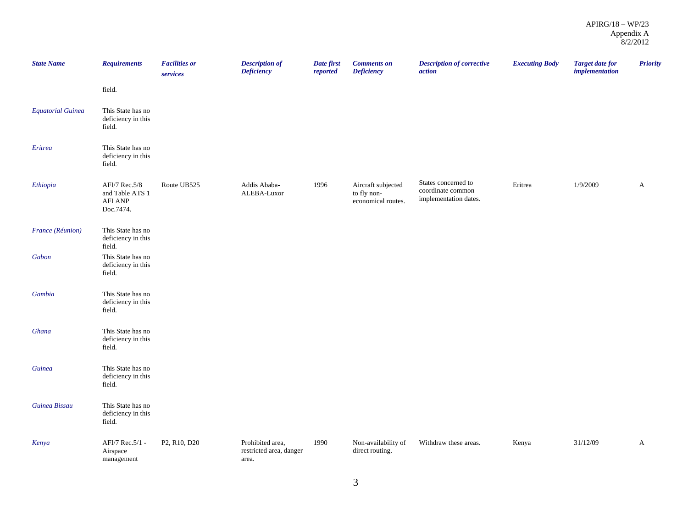| <b>State Name</b>        | <b>Requirements</b>                                             | <b>Facilities or</b><br>services | <b>Description of</b><br><b>Deficiency</b>           | Date first<br>reported | <b>Comments</b> on<br><b>Deficiency</b>                 | <b>Description of corrective</b><br>action                        | <b>Executing Body</b> | <b>Target date for</b><br>implementation | <b>Priority</b> |
|--------------------------|-----------------------------------------------------------------|----------------------------------|------------------------------------------------------|------------------------|---------------------------------------------------------|-------------------------------------------------------------------|-----------------------|------------------------------------------|-----------------|
|                          | field.                                                          |                                  |                                                      |                        |                                                         |                                                                   |                       |                                          |                 |
| <b>Equatorial Guinea</b> | This State has no<br>deficiency in this<br>field.               |                                  |                                                      |                        |                                                         |                                                                   |                       |                                          |                 |
| Eritrea                  | This State has no<br>deficiency in this<br>field.               |                                  |                                                      |                        |                                                         |                                                                   |                       |                                          |                 |
| Ethiopia                 | AFI/7 Rec.5/8<br>and Table ATS 1<br><b>AFI ANP</b><br>Doc.7474. | Route UB525                      | Addis Ababa-<br>ALEBA-Luxor                          | 1996                   | Aircraft subjected<br>to fly non-<br>economical routes. | States concerned to<br>coordinate common<br>implementation dates. | Eritrea               | 1/9/2009                                 | $\mathbf{A}$    |
| France (Réunion)         | This State has no<br>deficiency in this<br>field.               |                                  |                                                      |                        |                                                         |                                                                   |                       |                                          |                 |
| Gabon                    | This State has no<br>deficiency in this<br>field.               |                                  |                                                      |                        |                                                         |                                                                   |                       |                                          |                 |
| Gambia                   | This State has no<br>deficiency in this<br>field.               |                                  |                                                      |                        |                                                         |                                                                   |                       |                                          |                 |
| Ghana                    | This State has no<br>deficiency in this<br>field.               |                                  |                                                      |                        |                                                         |                                                                   |                       |                                          |                 |
| Guinea                   | This State has no<br>deficiency in this<br>field.               |                                  |                                                      |                        |                                                         |                                                                   |                       |                                          |                 |
| Guinea Bissau            | This State has no<br>deficiency in this<br>field.               |                                  |                                                      |                        |                                                         |                                                                   |                       |                                          |                 |
| Kenya                    | AFI/7 Rec.5/1 -<br>Airspace<br>management                       | P2, R10, D20                     | Prohibited area,<br>restricted area, danger<br>area. | 1990                   | Non-availability of<br>direct routing.                  | Withdraw these areas.                                             | Kenya                 | 31/12/09                                 | A               |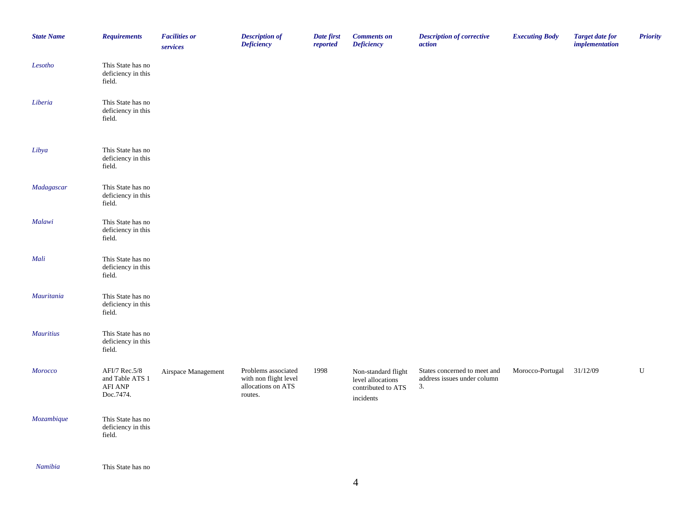| <b>State Name</b>                                   | <b>Requirements</b>                                      | <b>Facilities or</b><br>services | <b>Description of</b><br><b>Deficiency</b>                                    | Date first<br>reported | <b>Comments</b> on<br><b>Deficiency</b>                                     | <b>Description of corrective</b><br>action                        | <b>Executing Body</b>     | <b>Target date for</b><br><i>implementation</i> | <b>Priority</b> |
|-----------------------------------------------------|----------------------------------------------------------|----------------------------------|-------------------------------------------------------------------------------|------------------------|-----------------------------------------------------------------------------|-------------------------------------------------------------------|---------------------------|-------------------------------------------------|-----------------|
| Lesotho                                             | This State has no<br>deficiency in this<br>field.        |                                  |                                                                               |                        |                                                                             |                                                                   |                           |                                                 |                 |
| $\label{prop:liber} \emph{Liberia}$                 | This State has no<br>deficiency in this<br>field.        |                                  |                                                                               |                        |                                                                             |                                                                   |                           |                                                 |                 |
| Libya                                               | This State has no<br>deficiency in this<br>field.        |                                  |                                                                               |                        |                                                                             |                                                                   |                           |                                                 |                 |
| Madagascar                                          | This State has no<br>deficiency in this<br>field.        |                                  |                                                                               |                        |                                                                             |                                                                   |                           |                                                 |                 |
| Malawi                                              | This State has no<br>deficiency in this<br>field.        |                                  |                                                                               |                        |                                                                             |                                                                   |                           |                                                 |                 |
| Mali                                                | This State has no<br>deficiency in this<br>field.        |                                  |                                                                               |                        |                                                                             |                                                                   |                           |                                                 |                 |
| Mauritania                                          | This State has no<br>deficiency in this<br>field.        |                                  |                                                                               |                        |                                                                             |                                                                   |                           |                                                 |                 |
| <b>Mauritius</b>                                    | This State has no<br>deficiency in this<br>field.        |                                  |                                                                               |                        |                                                                             |                                                                   |                           |                                                 |                 |
| <b>Morocco</b>                                      | AFI/7 Rec.5/8<br>and Table ATS 1<br>AFI ANP<br>Doc.7474. | Airspace Management              | Problems associated<br>with non flight level<br>allocations on ATS<br>routes. | 1998                   | Non-standard flight<br>level allocations<br>contributed to ATS<br>incidents | States concerned to meet and<br>address issues under column<br>3. | Morocco-Portugal 31/12/09 |                                                 | ${\bf U}$       |
| Mozambique                                          | This State has no<br>deficiency in this<br>field.        |                                  |                                                                               |                        |                                                                             |                                                                   |                           |                                                 |                 |
| $\lambda T_{1}, \ldots, \lambda T_{n}, \lambda_{n}$ | $\mathbf{m}$ $\mathbf{m}$ $\mathbf{m}$                   |                                  |                                                                               |                        |                                                                             |                                                                   |                           |                                                 |                 |

*Namibia* This State has no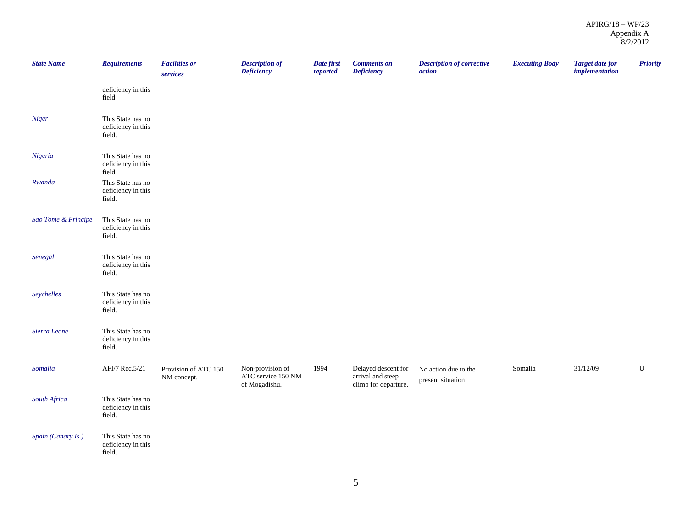| <b>State Name</b>   | <b>Requirements</b>                               | <b>Facilities or</b><br>services    | <b>Description of</b><br><b>Deficiency</b>              | Date first<br>reported | <b>Comments</b> on<br><b>Deficiency</b>                          | <b>Description of corrective</b><br>action | <b>Executing Body</b> | <b>Target date for</b><br><i>implementation</i> | <b>Priority</b> |
|---------------------|---------------------------------------------------|-------------------------------------|---------------------------------------------------------|------------------------|------------------------------------------------------------------|--------------------------------------------|-----------------------|-------------------------------------------------|-----------------|
|                     | deficiency in this<br>field                       |                                     |                                                         |                        |                                                                  |                                            |                       |                                                 |                 |
| Niger               | This State has no<br>deficiency in this<br>field. |                                     |                                                         |                        |                                                                  |                                            |                       |                                                 |                 |
| Nigeria             | This State has no<br>deficiency in this<br>field  |                                     |                                                         |                        |                                                                  |                                            |                       |                                                 |                 |
| Rwanda              | This State has no<br>deficiency in this<br>field. |                                     |                                                         |                        |                                                                  |                                            |                       |                                                 |                 |
| Sao Tome & Principe | This State has no<br>deficiency in this<br>field. |                                     |                                                         |                        |                                                                  |                                            |                       |                                                 |                 |
| Senegal             | This State has no<br>deficiency in this<br>field. |                                     |                                                         |                        |                                                                  |                                            |                       |                                                 |                 |
| Seychelles          | This State has no<br>deficiency in this<br>field. |                                     |                                                         |                        |                                                                  |                                            |                       |                                                 |                 |
| Sierra Leone        | This State has no<br>deficiency in this<br>field. |                                     |                                                         |                        |                                                                  |                                            |                       |                                                 |                 |
| Somalia             | AFI/7 Rec.5/21                                    | Provision of ATC 150<br>NM concept. | Non-provision of<br>ATC service 150 NM<br>of Mogadishu. | 1994                   | Delayed descent for<br>arrival and steep<br>climb for departure. | No action due to the<br>present situation  | Somalia               | 31/12/09                                        | ${\bf U}$       |
| South Africa        | This State has no<br>deficiency in this<br>field. |                                     |                                                         |                        |                                                                  |                                            |                       |                                                 |                 |
| Spain (Canary Is.)  | This State has no<br>deficiency in this<br>field. |                                     |                                                         |                        |                                                                  |                                            |                       |                                                 |                 |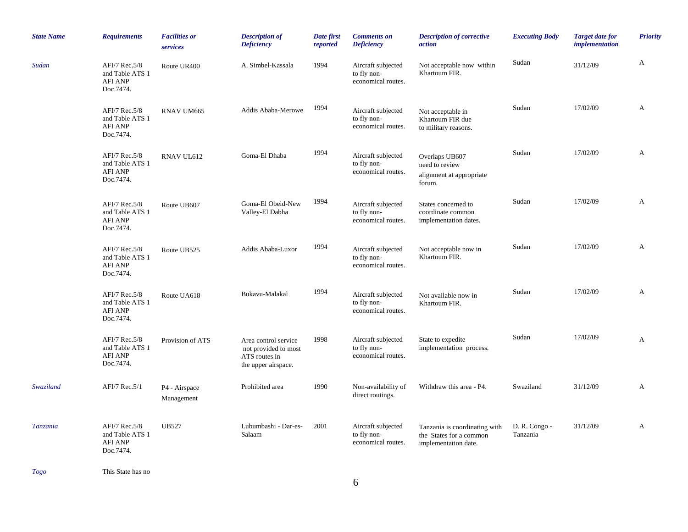| <b>State Name</b> | <b>Requirements</b>                                             | <b>Facilities or</b><br>services | <b>Description of</b><br><b>Deficiency</b>                                           | Date first<br>reported | <b>Comments</b> on<br><b>Deficiency</b>                 | <b>Description of corrective</b><br>action                                       | <b>Executing Body</b>     | <b>Target date for</b><br><i>implementation</i> | <b>Priority</b> |
|-------------------|-----------------------------------------------------------------|----------------------------------|--------------------------------------------------------------------------------------|------------------------|---------------------------------------------------------|----------------------------------------------------------------------------------|---------------------------|-------------------------------------------------|-----------------|
| Sudan             | AFI/7 Rec.5/8<br>and Table ATS 1<br><b>AFI ANP</b><br>Doc.7474. | Route UR400                      | A. Simbel-Kassala                                                                    | 1994                   | Aircraft subjected<br>to fly non-<br>economical routes. | Not acceptable now within<br>Khartoum FIR.                                       | Sudan                     | 31/12/09                                        | A               |
|                   | AFI/7 Rec.5/8<br>and Table ATS 1<br><b>AFI ANP</b><br>Doc.7474. | RNAV UM665                       | Addis Ababa-Merowe                                                                   | 1994                   | Aircraft subjected<br>to fly non-<br>economical routes. | Not acceptable in<br>Khartoum FIR due<br>to military reasons.                    | Sudan                     | 17/02/09                                        | A               |
|                   | AFI/7 Rec.5/8<br>and Table ATS 1<br><b>AFI ANP</b><br>Doc.7474. | RNAV UL612                       | Goma-El Dhaba                                                                        | 1994                   | Aircraft subjected<br>to fly non-<br>economical routes. | Overlaps UB607<br>need to review<br>alignment at appropriate<br>forum.           | Sudan                     | 17/02/09                                        | A               |
|                   | AFI/7 Rec.5/8<br>and Table ATS 1<br><b>AFI ANP</b><br>Doc.7474. | Route UB607                      | Goma-El Obeid-New<br>Valley-El Dabha                                                 | 1994                   | Aircraft subjected<br>to fly non-<br>economical routes. | States concerned to<br>coordinate common<br>implementation dates.                | Sudan                     | 17/02/09                                        | A               |
|                   | AFI/7 Rec.5/8<br>and Table ATS 1<br><b>AFI ANP</b><br>Doc.7474. | Route UB525                      | Addis Ababa-Luxor                                                                    | 1994                   | Aircraft subjected<br>to fly non-<br>economical routes. | Not acceptable now in<br>Khartoum FIR.                                           | Sudan                     | 17/02/09                                        | A               |
|                   | AFI/7 Rec.5/8<br>and Table ATS 1<br><b>AFI ANP</b><br>Doc.7474. | Route UA618                      | Bukavu-Malakal                                                                       | 1994                   | Aircraft subjected<br>to fly non-<br>economical routes. | Not available now in<br>Khartoum FIR.                                            | Sudan                     | 17/02/09                                        | A               |
|                   | AFI/7 Rec.5/8<br>and Table ATS 1<br><b>AFI ANP</b><br>Doc.7474. | Provision of ATS                 | Area control service<br>not provided to most<br>ATS routes in<br>the upper airspace. | 1998                   | Aircraft subjected<br>to fly non-<br>economical routes. | State to expedite<br>implementation process.                                     | Sudan                     | 17/02/09                                        | A               |
| Swaziland         | AFI/7 Rec.5/1                                                   | P4 - Airspace<br>Management      | Prohibited area                                                                      | 1990                   | Non-availability of<br>direct routings.                 | Withdraw this area - P4.                                                         | Swaziland                 | 31/12/09                                        | A               |
| Tanzania          | AFI/7 Rec.5/8<br>and Table ATS 1<br><b>AFI ANP</b><br>Doc.7474. | <b>UB527</b>                     | Lubumbashi - Dar-es-<br>Salaam                                                       | 2001                   | Aircraft subjected<br>to fly non-<br>economical routes. | Tanzania is coordinating with<br>the States for a common<br>implementation date. | D. R. Congo -<br>Tanzania | 31/12/09                                        | A               |

*Togo* This State has no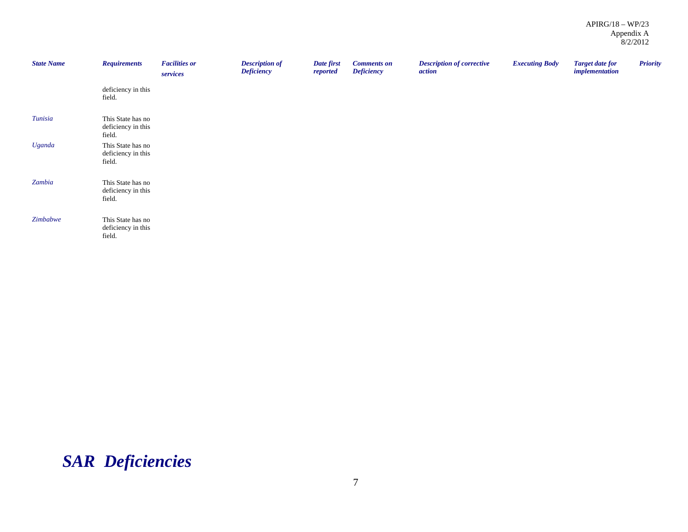| <b>State Name</b> | <b>Requirements</b>                               | <b>Facilities or</b><br>services | <b>Description of</b><br><b>Deficiency</b> | Date first<br>reported | <b>Comments on</b><br><b>Deficiency</b> | <b>Description of corrective</b><br>action | <b>Executing Body</b> | <b>Target date for</b><br><i>implementation</i> | <b>Priority</b> |
|-------------------|---------------------------------------------------|----------------------------------|--------------------------------------------|------------------------|-----------------------------------------|--------------------------------------------|-----------------------|-------------------------------------------------|-----------------|
|                   | deficiency in this<br>field.                      |                                  |                                            |                        |                                         |                                            |                       |                                                 |                 |
| Tunisia           | This State has no<br>deficiency in this<br>field. |                                  |                                            |                        |                                         |                                            |                       |                                                 |                 |
| Uganda            | This State has no<br>deficiency in this<br>field. |                                  |                                            |                        |                                         |                                            |                       |                                                 |                 |
| Zambia            | This State has no<br>deficiency in this<br>field. |                                  |                                            |                        |                                         |                                            |                       |                                                 |                 |
| Zimbabwe          | This State has no<br>deficiency in this<br>field. |                                  |                                            |                        |                                         |                                            |                       |                                                 |                 |

# *SAR Deficiencies*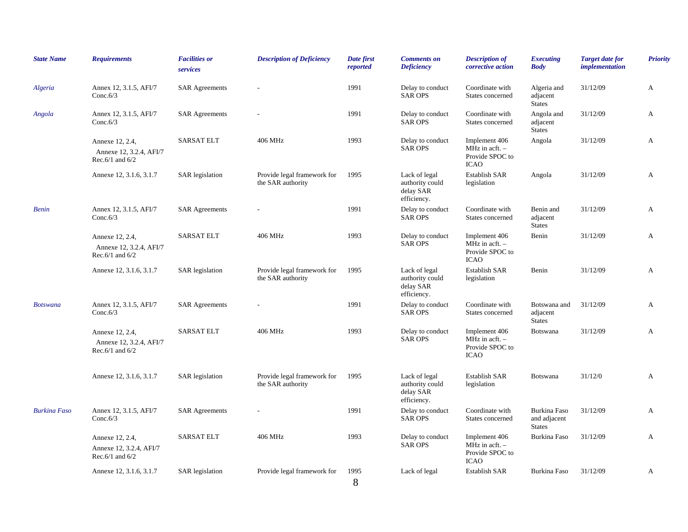| <b>State Name</b>   | <b>Requirements</b>                                                | <b>Facilities or</b><br>services | <b>Description of Deficiency</b>                 | Date first<br>reported | <b>Comments</b> on<br><b>Deficiency</b>                      | <b>Description of</b><br>corrective action                                 | <b>Executing</b><br><b>Body</b>               | <b>Target date for</b><br><i>implementation</i> | <b>Priority</b> |
|---------------------|--------------------------------------------------------------------|----------------------------------|--------------------------------------------------|------------------------|--------------------------------------------------------------|----------------------------------------------------------------------------|-----------------------------------------------|-------------------------------------------------|-----------------|
| Algeria             | Annex 12, 3.1.5, AFI/7<br>Conc. $6/3$                              | <b>SAR Agreements</b>            |                                                  | 1991                   | Delay to conduct<br><b>SAR OPS</b>                           | Coordinate with<br>States concerned                                        | Algeria and<br>adjacent<br><b>States</b>      | 31/12/09                                        | А               |
| Angola              | Annex 12, 3.1.5, AFI/7<br>Conc. $6/3$                              | <b>SAR Agreements</b>            |                                                  | 1991                   | Delay to conduct<br><b>SAR OPS</b>                           | Coordinate with<br>States concerned                                        | Angola and<br>adjacent<br><b>States</b>       | 31/12/09                                        | A               |
|                     | Annexe 12, 2.4,<br>Annexe 12, 3.2.4, AFI/7<br>Rec. $6/1$ and $6/2$ | <b>SARSAT ELT</b>                | 406 MHz                                          | 1993                   | Delay to conduct<br><b>SAR OPS</b>                           | Implement 406<br>MHz in acft. $-$<br>Provide SPOC to<br><b>ICAO</b>        | Angola                                        | 31/12/09                                        | A               |
|                     | Annexe 12, 3.1.6, 3.1.7                                            | <b>SAR</b> legislation           | Provide legal framework for<br>the SAR authority | 1995                   | Lack of legal<br>authority could<br>delay SAR<br>efficiency. | <b>Establish SAR</b><br>legislation                                        | Angola                                        | 31/12/09                                        | A               |
| <b>Benin</b>        | Annex 12, 3.1.5, AFI/7<br>Conc. $6/3$                              | <b>SAR Agreements</b>            |                                                  | 1991                   | Delay to conduct<br><b>SAR OPS</b>                           | Coordinate with<br>States concerned                                        | Benin and<br>adjacent<br><b>States</b>        | 31/12/09                                        | А               |
|                     | Annexe 12, 2.4,<br>Annexe 12, 3.2.4, AFI/7<br>Rec.6/1 and $6/2$    | <b>SARSAT ELT</b>                | 406 MHz                                          | 1993                   | Delay to conduct<br><b>SAR OPS</b>                           | Implement 406<br>MHz in $\text{acft.}$ -<br>Provide SPOC to<br><b>ICAO</b> | Benin                                         | 31/12/09                                        | A               |
|                     | Annexe 12, 3.1.6, 3.1.7                                            | <b>SAR</b> legislation           | Provide legal framework for<br>the SAR authority | 1995                   | Lack of legal<br>authority could<br>delay SAR<br>efficiency. | <b>Establish SAR</b><br>legislation                                        | Benin                                         | 31/12/09                                        | A               |
| <b>Botswana</b>     | Annex 12, 3.1.5, AFI/7<br>Conc. $6/3$                              | <b>SAR Agreements</b>            |                                                  | 1991                   | Delay to conduct<br><b>SAR OPS</b>                           | Coordinate with<br>States concerned                                        | Botswana and<br>adjacent<br><b>States</b>     | 31/12/09                                        | A               |
|                     | Annexe 12, 2.4,<br>Annexe 12, 3.2.4, AFI/7<br>Rec. $6/1$ and $6/2$ | <b>SARSAT ELT</b>                | 406 MHz                                          | 1993                   | Delay to conduct<br><b>SAR OPS</b>                           | Implement 406<br>MHz in $\text{acft.}$ -<br>Provide SPOC to<br><b>ICAO</b> | Botswana                                      | 31/12/09                                        | A               |
|                     | Annexe 12, 3.1.6, 3.1.7                                            | <b>SAR</b> legislation           | Provide legal framework for<br>the SAR authority | 1995                   | Lack of legal<br>authority could<br>delay SAR<br>efficiency. | <b>Establish SAR</b><br>legislation                                        | Botswana                                      | 31/12/0                                         | A               |
| <b>Burkina Faso</b> | Annex 12, 3.1.5, AFI/7<br>Conc. $6/3$                              | <b>SAR Agreements</b>            |                                                  | 1991                   | Delay to conduct<br><b>SAR OPS</b>                           | Coordinate with<br>States concerned                                        | Burkina Faso<br>and adjacent<br><b>States</b> | 31/12/09                                        | A               |
|                     | Annexe 12, 2.4,<br>Annexe 12, 3.2.4, AFI/7<br>Rec.6/1 and $6/2$    | <b>SARSAT ELT</b>                | 406 MHz                                          | 1993                   | Delay to conduct<br><b>SAR OPS</b>                           | Implement 406<br>MHz in $\text{acft.}$ –<br>Provide SPOC to<br><b>ICAO</b> | Burkina Faso                                  | 31/12/09                                        | A               |
|                     | Annexe 12, 3.1.6, 3.1.7                                            | <b>SAR</b> legislation           | Provide legal framework for                      | 1995<br>8              | Lack of legal                                                | <b>Establish SAR</b>                                                       | Burkina Faso                                  | 31/12/09                                        | A               |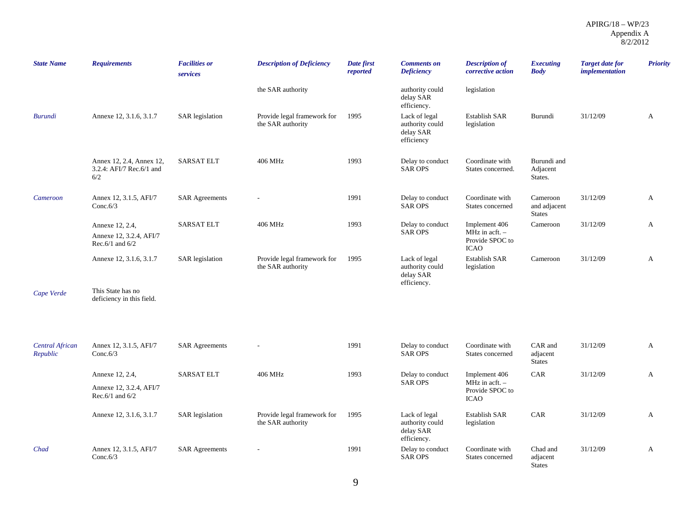| <b>State Name</b>                  | <b>Requirements</b>                                                | <b>Facilities or</b><br>services | <b>Description of Deficiency</b>                 | Date first<br>reported | <b>Comments on</b><br><b>Deficiency</b>                      | <b>Description of</b><br>corrective action                                 | <b>Executing</b><br><b>Body</b>           | <b>Target date for</b><br><i>implementation</i> | <b>Priority</b> |
|------------------------------------|--------------------------------------------------------------------|----------------------------------|--------------------------------------------------|------------------------|--------------------------------------------------------------|----------------------------------------------------------------------------|-------------------------------------------|-------------------------------------------------|-----------------|
|                                    |                                                                    |                                  | the SAR authority                                |                        | authority could<br>delay SAR<br>efficiency.                  | legislation                                                                |                                           |                                                 |                 |
| <b>Burundi</b>                     | Annexe 12, 3.1.6, 3.1.7                                            | SAR legislation                  | Provide legal framework for<br>the SAR authority | 1995                   | Lack of legal<br>authority could<br>delay SAR<br>efficiency  | <b>Establish SAR</b><br>legislation                                        | Burundi                                   | 31/12/09                                        | A               |
|                                    | Annex 12, 2.4, Annex 12,<br>3.2.4: AFI/7 Rec.6/1 and<br>6/2        | <b>SARSAT ELT</b>                | 406 MHz                                          | 1993                   | Delay to conduct<br><b>SAR OPS</b>                           | Coordinate with<br>States concerned.                                       | Burundi and<br>Adjacent<br>States.        |                                                 |                 |
| Cameroon                           | Annex 12, 3.1.5, AFI/7<br>Conc. $6/3$                              | <b>SAR Agreements</b>            |                                                  | 1991                   | Delay to conduct<br><b>SAR OPS</b>                           | Coordinate with<br>States concerned                                        | Cameroon<br>and adjacent<br><b>States</b> | 31/12/09                                        | A               |
|                                    | Annexe 12, 2.4,<br>Annexe 12, 3.2.4, AFI/7<br>Rec. $6/1$ and $6/2$ | <b>SARSAT ELT</b>                | 406 MHz                                          | 1993                   | Delay to conduct<br><b>SAR OPS</b>                           | Implement 406<br>MHz in $\text{acft.}$ -<br>Provide SPOC to<br><b>ICAO</b> | Cameroon                                  | 31/12/09                                        | A               |
|                                    | Annexe 12, 3.1.6, 3.1.7                                            | <b>SAR</b> legislation           | Provide legal framework for<br>the SAR authority | 1995                   | Lack of legal<br>authority could<br>delay SAR<br>efficiency. | <b>Establish SAR</b><br>legislation                                        | Cameroon                                  | 31/12/09                                        | A               |
| Cape Verde                         | This State has no<br>deficiency in this field.                     |                                  |                                                  |                        |                                                              |                                                                            |                                           |                                                 |                 |
|                                    |                                                                    |                                  |                                                  |                        |                                                              |                                                                            |                                           |                                                 |                 |
| <b>Central African</b><br>Republic | Annex 12, 3.1.5, AFI/7<br>Conc. $6/3$                              | <b>SAR Agreements</b>            |                                                  | 1991                   | Delay to conduct<br><b>SAR OPS</b>                           | Coordinate with<br>States concerned                                        | CAR and<br>adjacent<br><b>States</b>      | 31/12/09                                        | A               |
|                                    | Annexe 12, 2.4,                                                    | <b>SARSAT ELT</b>                | 406 MHz                                          | 1993                   | Delay to conduct                                             | Implement 406                                                              | CAR                                       | 31/12/09                                        | A               |
|                                    | Annexe 12, 3.2.4, AFI/7<br>Rec.6/1 and $6/2$                       |                                  |                                                  |                        | <b>SAR OPS</b>                                               | $MHz$ in acft. $-$<br>Provide SPOC to<br><b>ICAO</b>                       |                                           |                                                 |                 |
|                                    | Annexe 12, 3.1.6, 3.1.7                                            | <b>SAR</b> legislation           | Provide legal framework for<br>the SAR authority | 1995                   | Lack of legal<br>authority could<br>delay SAR<br>efficiency. | <b>Establish SAR</b><br>legislation                                        | CAR                                       | 31/12/09                                        | A               |
| Chad                               | Annex 12, 3.1.5, AFI/7<br>Conc. $6/3$                              | <b>SAR Agreements</b>            |                                                  | 1991                   | Delay to conduct<br><b>SAR OPS</b>                           | Coordinate with<br>States concerned                                        | Chad and<br>adjacent<br><b>States</b>     | 31/12/09                                        | A               |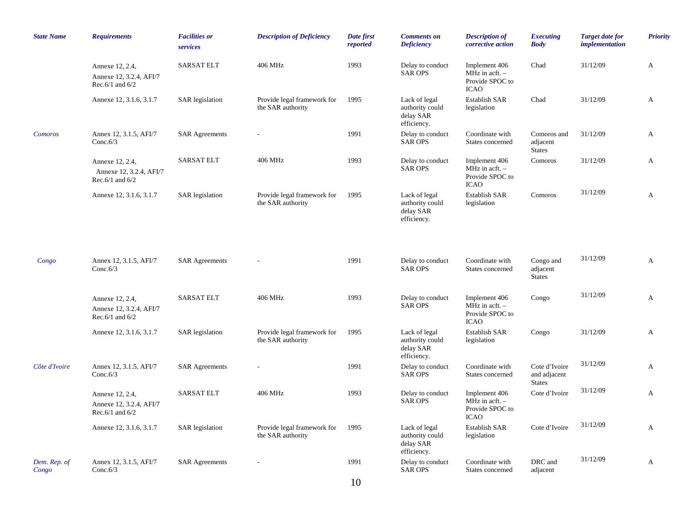| <b>State Name</b>     | <b>Requirements</b>                                                | <b>Facilities or</b><br>services | <b>Description of Deficiency</b>                 | Date first<br>reported | <b>Comments</b> on<br><b>Deficiency</b>                      | <b>Description of</b><br>corrective action                                         | <b>Executing</b><br><b>Body</b>                | <b>Target date for</b><br><i>implementation</i> | <b>Priority</b> |
|-----------------------|--------------------------------------------------------------------|----------------------------------|--------------------------------------------------|------------------------|--------------------------------------------------------------|------------------------------------------------------------------------------------|------------------------------------------------|-------------------------------------------------|-----------------|
|                       | Annexe 12, 2.4,<br>Annexe 12, 3.2.4, AFI/7<br>Rec. $6/1$ and $6/2$ | <b>SARSAT ELT</b>                | 406 MHz                                          | 1993                   | Delay to conduct<br><b>SAR OPS</b>                           | Implement 406<br>MHz in $\text{acft.}$ -<br>Provide SPOC to<br><b>ICAO</b>         | Chad                                           | 31/12/09                                        | A               |
|                       | Annexe 12, 3.1.6, 3.1.7                                            | <b>SAR</b> legislation           | Provide legal framework for<br>the SAR authority | 1995                   | Lack of legal<br>authority could<br>delay SAR<br>efficiency. | Establish SAR<br>legislation                                                       | Chad                                           | 31/12/09                                        | A               |
| Comoros               | Annex 12, 3.1.5, AFI/7<br>Conc. $6/3$                              | <b>SAR Agreements</b>            |                                                  | 1991                   | Delay to conduct<br><b>SAR OPS</b>                           | Coordinate with<br>States concerned                                                | Comoros and<br>adjacent<br><b>States</b>       | 31/12/09                                        | A               |
|                       | Annexe 12, 2.4,<br>Annexe 12, 3.2.4, AFI/7<br>Rec.6/1 and $6/2$    | <b>SARSAT ELT</b>                | 406 MHz                                          | 1993                   | Delay to conduct<br><b>SAR OPS</b>                           | Implement 406<br>MHz in $\text{acft.}$ –<br>Provide SPOC to<br><b>ICAO</b>         | Comoros                                        | 31/12/09                                        | A               |
|                       | Annexe 12, 3.1.6, 3.1.7                                            | <b>SAR</b> legislation           | Provide legal framework for<br>the SAR authority | 1995                   | Lack of legal<br>authority could<br>delay SAR<br>efficiency. | <b>Establish SAR</b><br>legislation                                                | Comoros                                        | 31/12/09                                        | A               |
| Congo                 | Annex 12, 3.1.5, AFI/7<br>Conc. $6/3$                              | <b>SAR Agreements</b>            |                                                  | 1991                   | Delay to conduct<br><b>SAR OPS</b>                           | Coordinate with<br>States concerned                                                | Congo and<br>adjacent<br><b>States</b>         | 31/12/09                                        | A               |
|                       | Annexe 12, 2.4,<br>Annexe 12, 3.2.4, AFI/7<br>Rec.6/1 and $6/2$    | <b>SARSAT ELT</b>                | 406 MHz                                          | 1993                   | Delay to conduct<br><b>SAR OPS</b>                           | Implement 406<br>MHz in $\text{acft.}$ -<br>Provide SPOC to<br><b>ICAO</b>         | Congo                                          | 31/12/09                                        | A               |
|                       | Annexe 12, 3.1.6, 3.1.7                                            | <b>SAR</b> legislation           | Provide legal framework for<br>the SAR authority | 1995                   | Lack of legal<br>authority could<br>delay SAR<br>efficiency. | Establish SAR<br>legislation                                                       | Congo                                          | 31/12/09                                        | A               |
| Côte d'Ivoire         | Annex 12, 3.1.5, AFI/7<br>Conc. $6/3$                              | <b>SAR Agreements</b>            |                                                  | 1991                   | Delay to conduct<br><b>SAR OPS</b>                           | Coordinate with<br>States concerned                                                | Cote d'Ivoire<br>and adjacent<br><b>States</b> | 31/12/09                                        | A               |
|                       | Annexe 12, 2.4,<br>Annexe 12, 3.2.4, AFI/7<br>Rec.6/1 and $6/2$    | <b>SARSAT ELT</b>                | 406 MHz                                          | 1993                   | Delay to conduct<br><b>SAR OPS</b>                           | Implement 406<br>MHz in $\operatorname{acft.}$ -<br>Provide SPOC to<br><b>ICAO</b> | Cote d'Ivoire                                  | 31/12/09                                        | A               |
|                       | Annexe 12, 3.1.6, 3.1.7                                            | SAR legislation                  | Provide legal framework for<br>the SAR authority | 1995                   | Lack of legal<br>authority could<br>delay SAR<br>efficiency. | Establish SAR<br>legislation                                                       | Cote d'Ivoire                                  | 31/12/09                                        | A               |
| Dem. Rep. of<br>Congo | Annex 12, 3.1.5, AFI/7<br>Conc. $6/3$                              | <b>SAR Agreements</b>            |                                                  | 1991                   | Delay to conduct<br><b>SAR OPS</b>                           | Coordinate with<br>States concerned                                                | DRC and<br>adjacent                            | 31/12/09                                        | A               |
|                       |                                                                    |                                  |                                                  | 10                     |                                                              |                                                                                    |                                                |                                                 |                 |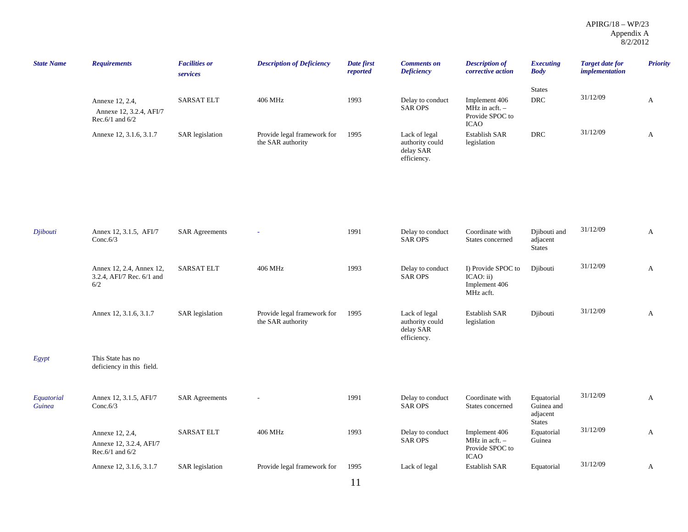| <b>State Name</b>    | <b>Requirements</b>                                             | <b>Facilities or</b><br>services | <b>Description of Deficiency</b>                 | Date first<br>reported | <b>Comments on</b><br><b>Deficiency</b>                      | <b>Description of</b><br>corrective action                                           | <b>Executing</b><br><b>Body</b>                       | <b>Target date for</b><br><i>implementation</i> | <b>Priority</b> |
|----------------------|-----------------------------------------------------------------|----------------------------------|--------------------------------------------------|------------------------|--------------------------------------------------------------|--------------------------------------------------------------------------------------|-------------------------------------------------------|-------------------------------------------------|-----------------|
|                      | Annexe 12, 2.4,<br>Annexe 12, 3.2.4, AFI/7<br>Rec.6/1 and $6/2$ | <b>SARSAT ELT</b>                | 406 MHz                                          | 1993                   | Delay to conduct<br><b>SAR OPS</b>                           | Implement 406<br>MHz in $\operatorname{acft}$ . -<br>Provide SPOC to<br><b>ICAO</b>  | <b>States</b><br><b>DRC</b>                           | 31/12/09                                        | A               |
|                      | Annexe 12, 3.1.6, 3.1.7                                         | <b>SAR</b> legislation           | Provide legal framework for<br>the SAR authority | 1995                   | Lack of legal<br>authority could<br>delay SAR<br>efficiency. | Establish SAR<br>legislation                                                         | $\ensuremath{\mathsf{DRC}}$                           | 31/12/09                                        | $\mathbf{A}$    |
|                      |                                                                 |                                  |                                                  |                        |                                                              |                                                                                      |                                                       |                                                 |                 |
| Djibouti             | Annex 12, 3.1.5, AFI/7<br>Conc. $6/3$                           | <b>SAR Agreements</b>            |                                                  | 1991                   | Delay to conduct<br><b>SAR OPS</b>                           | Coordinate with<br>States concerned                                                  | Djibouti and<br>adjacent<br><b>States</b>             | 31/12/09                                        | A               |
|                      | Annex 12, 2.4, Annex 12,<br>3.2.4, AFI/7 Rec. 6/1 and<br>6/2    | <b>SARSAT ELT</b>                | 406 MHz                                          | 1993                   | Delay to conduct<br><b>SAR OPS</b>                           | I) Provide SPOC to<br>ICAO: ii)<br>Implement 406<br>MHz acft.                        | Djibouti                                              | 31/12/09                                        | A               |
|                      | Annex 12, 3.1.6, 3.1.7                                          | <b>SAR</b> legislation           | Provide legal framework for<br>the SAR authority | 1995                   | Lack of legal<br>authority could<br>delay SAR<br>efficiency. | Establish SAR<br>legislation                                                         | Djibouti                                              | 31/12/09                                        | A               |
| Egypt                | This State has no<br>deficiency in this field.                  |                                  |                                                  |                        |                                                              |                                                                                      |                                                       |                                                 |                 |
| Equatorial<br>Guinea | Annex 12, 3.1.5, AFI/7<br>Conc. $6/3$                           | <b>SAR Agreements</b>            |                                                  | 1991                   | Delay to conduct<br><b>SAR OPS</b>                           | Coordinate with<br>States concerned                                                  | Equatorial<br>Guinea and<br>adjacent<br><b>States</b> | 31/12/09                                        | A               |
|                      | Annexe 12, 2.4,<br>Annexe 12, 3.2.4, AFI/7<br>Rec.6/1 and $6/2$ | <b>SARSAT ELT</b>                | 406 MHz                                          | 1993                   | Delay to conduct<br><b>SAR OPS</b>                           | Implement 406<br>MHz in $\operatorname{acft.}$ -<br>Provide SPOC to<br>$_{\rm ICAO}$ | Equatorial<br>Guinea                                  | 31/12/09                                        | A               |
|                      | Annexe 12, 3.1.6, 3.1.7                                         | <b>SAR</b> legislation           | Provide legal framework for                      | 1995                   | Lack of legal                                                | <b>Establish SAR</b>                                                                 | Equatorial                                            | 31/12/09                                        | A               |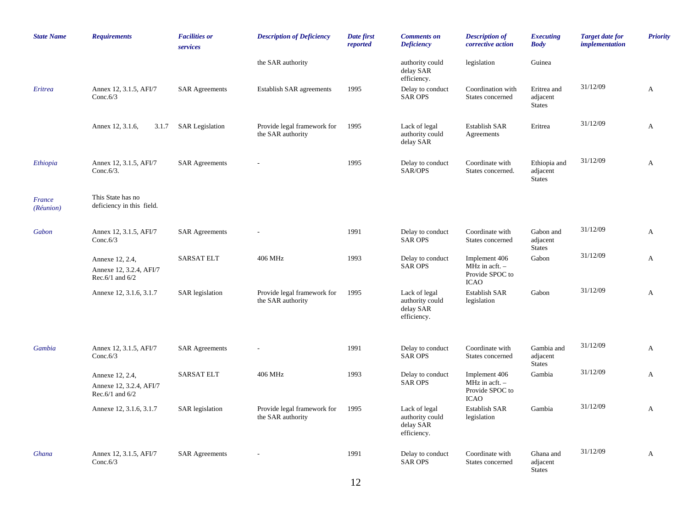| <b>State Name</b>   | <b>Requirements</b>                                                | <b>Facilities or</b><br>services | <b>Description of Deficiency</b>                 | Date first<br>reported | <b>Comments</b> on<br><b>Deficiency</b>                      | <b>Description of</b><br>corrective action                                          | <b>Executing</b><br><b>Body</b>           | <b>Target date for</b><br>implementation | <b>Priority</b> |
|---------------------|--------------------------------------------------------------------|----------------------------------|--------------------------------------------------|------------------------|--------------------------------------------------------------|-------------------------------------------------------------------------------------|-------------------------------------------|------------------------------------------|-----------------|
|                     |                                                                    |                                  | the SAR authority                                |                        | authority could<br>delay SAR<br>efficiency.                  | legislation                                                                         | Guinea                                    |                                          |                 |
| Eritrea             | Annex 12, 3.1.5, AFI/7<br>Conc. $6/3$                              | <b>SAR Agreements</b>            | <b>Establish SAR agreements</b>                  | 1995                   | Delay to conduct<br><b>SAR OPS</b>                           | Coordination with<br>States concerned                                               | Eritrea and<br>adjacent<br><b>States</b>  | 31/12/09                                 | A               |
|                     | Annex 12, 3.1.6,<br>3.1.7                                          | <b>SAR Legislation</b>           | Provide legal framework for<br>the SAR authority | 1995                   | Lack of legal<br>authority could<br>delay SAR                | <b>Establish SAR</b><br>Agreements                                                  | Eritrea                                   | 31/12/09                                 | A               |
| Ethiopia            | Annex 12, 3.1.5, AFI/7<br>Conc. $6/3$ .                            | <b>SAR Agreements</b>            |                                                  | 1995                   | Delay to conduct<br>SAR/OPS                                  | Coordinate with<br>States concerned.                                                | Ethiopia and<br>adjacent<br><b>States</b> | 31/12/09                                 | A               |
| France<br>(Réunion) | This State has no<br>deficiency in this field.                     |                                  |                                                  |                        |                                                              |                                                                                     |                                           |                                          |                 |
| Gabon               | Annex 12, 3.1.5, AFI/7<br>Conc. $6/3$                              | <b>SAR Agreements</b>            |                                                  | 1991                   | Delay to conduct<br><b>SAR OPS</b>                           | Coordinate with<br>States concerned                                                 | Gabon and<br>adjacent<br><b>States</b>    | 31/12/09                                 | A               |
|                     | Annexe 12, 2.4,<br>Annexe 12, 3.2.4, AFI/7<br>Rec. $6/1$ and $6/2$ | <b>SARSAT ELT</b>                | 406 MHz                                          | 1993                   | Delay to conduct<br><b>SAR OPS</b>                           | Implement 406<br>MHz in $\operatorname{acft}$ . -<br>Provide SPOC to<br><b>ICAO</b> | Gabon                                     | 31/12/09                                 | $\mathbf{A}$    |
|                     | Annexe 12, 3.1.6, 3.1.7                                            | <b>SAR</b> legislation           | Provide legal framework for<br>the SAR authority | 1995                   | Lack of legal<br>authority could<br>delay SAR<br>efficiency. | <b>Establish SAR</b><br>legislation                                                 | Gabon                                     | 31/12/09                                 | A               |
| Gambia              | Annex 12, 3.1.5, AFI/7<br>Conc. $6/3$                              | <b>SAR Agreements</b>            |                                                  | 1991                   | Delay to conduct<br><b>SAR OPS</b>                           | Coordinate with<br>States concerned                                                 | Gambia and<br>adjacent<br><b>States</b>   | 31/12/09                                 | A               |
|                     | Annexe 12, 2.4,<br>Annexe 12, 3.2.4, AFI/7<br>Rec. $6/1$ and $6/2$ | <b>SARSAT ELT</b>                | 406 MHz                                          | 1993                   | Delay to conduct<br><b>SAR OPS</b>                           | Implement 406<br>MHz in acft. -<br>Provide SPOC to<br><b>ICAO</b>                   | Gambia                                    | 31/12/09                                 | A               |
|                     | Annexe 12, 3.1.6, 3.1.7                                            | <b>SAR</b> legislation           | Provide legal framework for<br>the SAR authority | 1995                   | Lack of legal<br>authority could<br>delay SAR<br>efficiency. | <b>Establish SAR</b><br>legislation                                                 | Gambia                                    | 31/12/09                                 | A               |
| Ghana               | Annex 12, 3.1.5, AFI/7<br>Conc. $6/3$                              | <b>SAR Agreements</b>            |                                                  | 1991                   | Delay to conduct<br><b>SAR OPS</b>                           | Coordinate with<br>States concerned                                                 | Ghana and<br>adjacent<br><b>States</b>    | 31/12/09                                 | A               |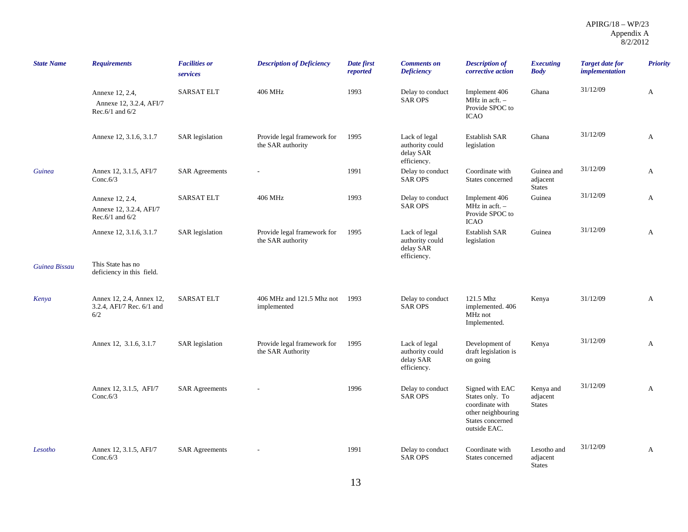| <b>State Name</b> | <b>Requirements</b>                                                | <b>Facilities or</b><br>services | <b>Description of Deficiency</b>                 | Date first<br>reported | <b>Comments on</b><br><b>Deficiency</b>                      | <b>Description of</b><br>corrective action                                                                      | Executing<br><b>Body</b>                 | <b>Target date for</b><br>implementation | <b>Priority</b> |
|-------------------|--------------------------------------------------------------------|----------------------------------|--------------------------------------------------|------------------------|--------------------------------------------------------------|-----------------------------------------------------------------------------------------------------------------|------------------------------------------|------------------------------------------|-----------------|
|                   | Annexe 12, 2.4,<br>Annexe 12, 3.2.4, AFI/7<br>Rec. $6/1$ and $6/2$ | <b>SARSAT ELT</b>                | 406 MHz                                          | 1993                   | Delay to conduct<br><b>SAR OPS</b>                           | Implement 406<br>$MHz$ in acft. $-$<br>Provide SPOC to<br><b>ICAO</b>                                           | Ghana                                    | 31/12/09                                 | A               |
|                   | Annexe 12, 3.1.6, 3.1.7                                            | <b>SAR</b> legislation           | Provide legal framework for<br>the SAR authority | 1995                   | Lack of legal<br>authority could<br>delay SAR<br>efficiency. | <b>Establish SAR</b><br>legislation                                                                             | Ghana                                    | 31/12/09                                 | A               |
| Guinea            | Annex 12, 3.1.5, AFI/7<br>Conc. $6/3$                              | <b>SAR Agreements</b>            |                                                  | 1991                   | Delay to conduct<br><b>SAR OPS</b>                           | Coordinate with<br>States concerned                                                                             | Guinea and<br>adjacent<br><b>States</b>  | 31/12/09                                 | A               |
|                   | Annexe 12, 2.4,<br>Annexe 12, 3.2.4, AFI/7<br>Rec. $6/1$ and $6/2$ | <b>SARSAT ELT</b>                | 406 MHz                                          | 1993                   | Delay to conduct<br><b>SAR OPS</b>                           | Implement 406<br>MHz in $\operatorname{acft}$ . -<br>Provide SPOC to<br><b>ICAO</b>                             | Guinea                                   | 31/12/09                                 | A               |
|                   | Annexe 12, 3.1.6, 3.1.7                                            | <b>SAR</b> legislation           | Provide legal framework for<br>the SAR authority | 1995                   | Lack of legal<br>authority could<br>delay SAR<br>efficiency. | <b>Establish SAR</b><br>legislation                                                                             | Guinea                                   | 31/12/09                                 | A               |
| Guinea Bissau     | This State has no<br>deficiency in this field.                     |                                  |                                                  |                        |                                                              |                                                                                                                 |                                          |                                          |                 |
| Kenya             | Annex 12, 2.4, Annex 12,<br>3.2.4, AFI/7 Rec. 6/1 and<br>6/2       | <b>SARSAT ELT</b>                | 406 MHz and 121.5 Mhz not<br>implemented         | 1993                   | Delay to conduct<br><b>SAR OPS</b>                           | 121.5 Mhz<br>implemented. 406<br>MHz not<br>Implemented.                                                        | Kenya                                    | 31/12/09                                 | A               |
|                   | Annex 12, 3.1.6, 3.1.7                                             | SAR legislation                  | Provide legal framework for<br>the SAR Authority | 1995                   | Lack of legal<br>authority could<br>delay SAR<br>efficiency. | Development of<br>draft legislation is<br>on going                                                              | Kenya                                    | 31/12/09                                 | A               |
|                   | Annex 12, 3.1.5, AFI/7<br>Conc. $6/3$                              | <b>SAR Agreements</b>            |                                                  | 1996                   | Delay to conduct<br><b>SAR OPS</b>                           | Signed with EAC<br>States only. To<br>coordinate with<br>other neighbouring<br>States concerned<br>outside EAC. | Kenya and<br>adjacent<br><b>States</b>   | 31/12/09                                 | A               |
| Lesotho           | Annex 12, 3.1.5, AFI/7<br>Conc. $6/3$                              | <b>SAR Agreements</b>            |                                                  | 1991                   | Delay to conduct<br><b>SAR OPS</b>                           | Coordinate with<br>States concerned                                                                             | Lesotho and<br>adjacent<br><b>States</b> | 31/12/09                                 | A               |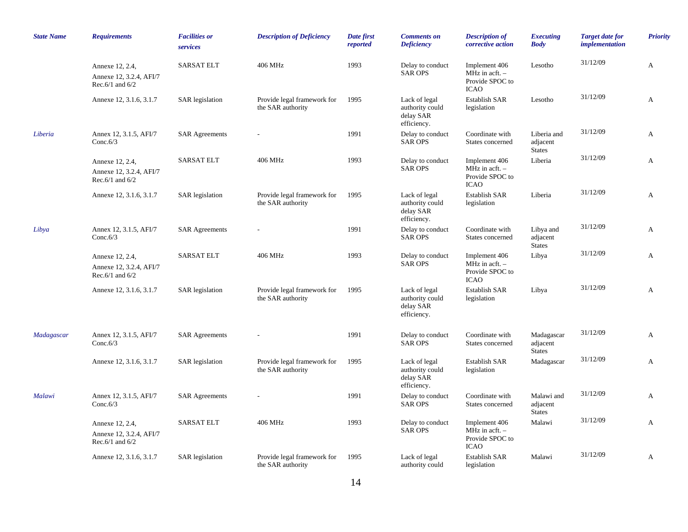| <b>State Name</b> | <b>Requirements</b>                                                | <b>Facilities or</b><br>services | <b>Description of Deficiency</b>                 | Date first<br>reported | <b>Comments on</b><br><b>Deficiency</b>                      | <b>Description of</b><br>corrective action                                          | <b>Executing</b><br><b>Body</b>          | <b>Target date for</b><br>implementation | <b>Priority</b> |
|-------------------|--------------------------------------------------------------------|----------------------------------|--------------------------------------------------|------------------------|--------------------------------------------------------------|-------------------------------------------------------------------------------------|------------------------------------------|------------------------------------------|-----------------|
|                   | Annexe 12, 2.4,<br>Annexe 12, 3.2.4, AFI/7<br>Rec.6/1 and $6/2$    | <b>SARSAT ELT</b>                | 406 MHz                                          | 1993                   | Delay to conduct<br><b>SAR OPS</b>                           | Implement 406<br>MHz in $\operatorname{acft}$ . -<br>Provide SPOC to<br><b>ICAO</b> | Lesotho                                  | 31/12/09                                 | A               |
|                   | Annexe 12, 3.1.6, 3.1.7                                            | <b>SAR</b> legislation           | Provide legal framework for<br>the SAR authority | 1995                   | Lack of legal<br>authority could<br>delay SAR<br>efficiency. | <b>Establish SAR</b><br>legislation                                                 | Lesotho                                  | 31/12/09                                 | A               |
| Liberia           | Annex 12, 3.1.5, AFI/7<br>Conc. $6/3$                              | <b>SAR Agreements</b>            |                                                  | 1991                   | Delay to conduct<br><b>SAR OPS</b>                           | Coordinate with<br>States concerned                                                 | Liberia and<br>adjacent<br><b>States</b> | 31/12/09                                 | A               |
|                   | Annexe 12, 2.4,<br>Annexe 12, 3.2.4, AFI/7<br>Rec. $6/1$ and $6/2$ | <b>SARSAT ELT</b>                | 406 MHz                                          | 1993                   | Delay to conduct<br><b>SAR OPS</b>                           | Implement 406<br>MHz in acft. $-$<br>Provide SPOC to<br><b>ICAO</b>                 | Liberia                                  | 31/12/09                                 | A               |
|                   | Annexe 12, 3.1.6, 3.1.7                                            | <b>SAR</b> legislation           | Provide legal framework for<br>the SAR authority | 1995                   | Lack of legal<br>authority could<br>delay SAR<br>efficiency. | <b>Establish SAR</b><br>legislation                                                 | Liberia                                  | 31/12/09                                 | A               |
| Libya             | Annex 12, 3.1.5, AFI/7<br>Conc. $6/3$                              | <b>SAR Agreements</b>            |                                                  | 1991                   | Delay to conduct<br><b>SAR OPS</b>                           | Coordinate with<br>States concerned                                                 | Libya and<br>adjacent<br><b>States</b>   | 31/12/09                                 | A               |
|                   | Annexe 12, 2.4,<br>Annexe 12, 3.2.4, AFI/7<br>Rec.6/1 and $6/2$    | <b>SARSAT ELT</b>                | 406 MHz                                          | 1993                   | Delay to conduct<br><b>SAR OPS</b>                           | Implement 406<br>$MHz$ in acft. $-$<br>Provide SPOC to<br><b>ICAO</b>               | Libya                                    | 31/12/09                                 | A               |
|                   | Annexe 12, 3.1.6, 3.1.7                                            | <b>SAR</b> legislation           | Provide legal framework for<br>the SAR authority | 1995                   | Lack of legal<br>authority could<br>delay SAR<br>efficiency. | <b>Establish SAR</b><br>legislation                                                 | Libya                                    | 31/12/09                                 | A               |
| Madagascar        | Annex 12, 3.1.5, AFI/7<br>Conc. $6/3$                              | <b>SAR Agreements</b>            |                                                  | 1991                   | Delay to conduct<br><b>SAR OPS</b>                           | Coordinate with<br>States concerned                                                 | Madagascar<br>adjacent<br><b>States</b>  | 31/12/09                                 | A               |
|                   | Annexe 12, 3.1.6, 3.1.7                                            | <b>SAR</b> legislation           | Provide legal framework for<br>the SAR authority | 1995                   | Lack of legal<br>authority could<br>delay SAR<br>efficiency. | <b>Establish SAR</b><br>legislation                                                 | Madagascar                               | 31/12/09                                 | A               |
| Malawi            | Annex 12, 3.1.5, AFI/7<br>Conc. $6/3$                              | <b>SAR Agreements</b>            |                                                  | 1991                   | Delay to conduct<br><b>SAR OPS</b>                           | Coordinate with<br>States concerned                                                 | Malawi and<br>adjacent<br><b>States</b>  | 31/12/09                                 | A               |
|                   | Annexe 12, 2.4,<br>Annexe 12, 3.2.4, AFI/7<br>Rec. $6/1$ and $6/2$ | <b>SARSAT ELT</b>                | 406 MHz                                          | 1993                   | Delay to conduct<br><b>SAR OPS</b>                           | Implement 406<br>MHz in acft. -<br>Provide SPOC to<br><b>ICAO</b>                   | Malawi                                   | 31/12/09                                 | A               |
|                   | Annexe 12, 3.1.6, 3.1.7                                            | <b>SAR</b> legislation           | Provide legal framework for<br>the SAR authority | 1995                   | Lack of legal<br>authority could                             | Establish SAR<br>legislation                                                        | Malawi                                   | 31/12/09                                 | A               |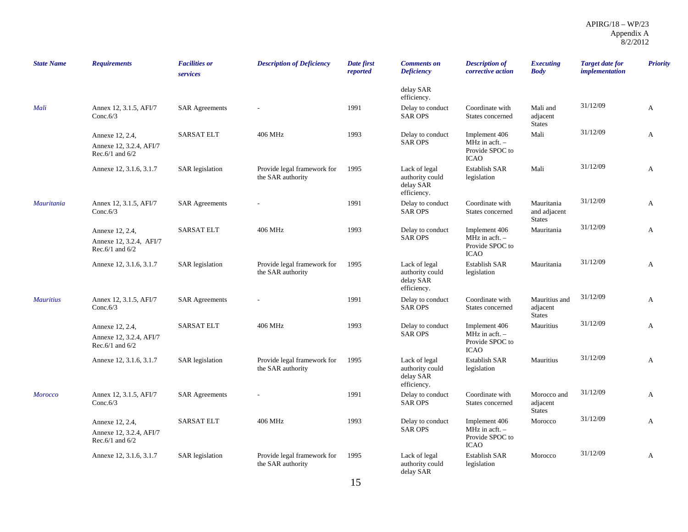| <b>State Name</b> | <b>Requirements</b>                                                | <b>Facilities or</b><br>services | <b>Description of Deficiency</b>                 | Date first<br>reported | <b>Comments on</b><br><b>Deficiency</b>                      | <b>Description of</b><br>corrective action                                          | <b>Executing</b><br><b>Body</b>             | <b>Target date for</b><br><i>implementation</i> | Priority |
|-------------------|--------------------------------------------------------------------|----------------------------------|--------------------------------------------------|------------------------|--------------------------------------------------------------|-------------------------------------------------------------------------------------|---------------------------------------------|-------------------------------------------------|----------|
|                   |                                                                    |                                  |                                                  |                        | delay SAR<br>efficiency.                                     |                                                                                     |                                             |                                                 |          |
| Mali              | Annex 12, 3.1.5, AFI/7<br>Conc. $6/3$                              | <b>SAR Agreements</b>            |                                                  | 1991                   | Delay to conduct<br><b>SAR OPS</b>                           | Coordinate with<br>States concerned                                                 | Mali and<br>adjacent<br><b>States</b>       | 31/12/09                                        | A        |
|                   | Annexe 12, 2.4,<br>Annexe 12, 3.2.4, AFI/7<br>Rec. $6/1$ and $6/2$ | <b>SARSAT ELT</b>                | 406 MHz                                          | 1993                   | Delay to conduct<br><b>SAR OPS</b>                           | Implement 406<br>MHz in $\operatorname{acft}$ . -<br>Provide SPOC to<br><b>ICAO</b> | Mali                                        | 31/12/09                                        | A        |
|                   | Annexe 12, 3.1.6, 3.1.7                                            | <b>SAR</b> legislation           | Provide legal framework for<br>the SAR authority | 1995                   | Lack of legal<br>authority could<br>delay SAR<br>efficiency. | <b>Establish SAR</b><br>legislation                                                 | Mali                                        | 31/12/09                                        | A        |
| <b>Mauritania</b> | Annex 12, 3.1.5, AFI/7<br>Conc. $6/3$                              | <b>SAR Agreements</b>            |                                                  | 1991                   | Delay to conduct<br><b>SAR OPS</b>                           | Coordinate with<br>States concerned                                                 | Mauritania<br>and adjacent<br><b>States</b> | 31/12/09                                        | А        |
|                   | Annexe 12, 2.4,<br>Annexe 12, 3.2.4, AFI/7<br>Rec. $6/1$ and $6/2$ | <b>SARSAT ELT</b>                | 406 MHz                                          | 1993                   | Delay to conduct<br><b>SAR OPS</b>                           | Implement 406<br>$MHz$ in acft. $-$<br>Provide SPOC to<br><b>ICAO</b>               | Mauritania                                  | 31/12/09                                        | A        |
|                   | Annexe 12, 3.1.6, 3.1.7                                            | <b>SAR</b> legislation           | Provide legal framework for<br>the SAR authority | 1995                   | Lack of legal<br>authority could<br>delay SAR<br>efficiency. | <b>Establish SAR</b><br>legislation                                                 | Mauritania                                  | 31/12/09                                        | A        |
| <b>Mauritius</b>  | Annex 12, 3.1.5, AFI/7<br>Conc. $6/3$                              | <b>SAR Agreements</b>            |                                                  | 1991                   | Delay to conduct<br><b>SAR OPS</b>                           | Coordinate with<br>States concerned                                                 | Mauritius and<br>adjacent<br><b>States</b>  | 31/12/09                                        | A        |
|                   | Annexe 12, 2.4,<br>Annexe 12, 3.2.4, AFI/7<br>Rec. $6/1$ and $6/2$ | <b>SARSAT ELT</b>                | 406 MHz                                          | 1993                   | Delay to conduct<br><b>SAR OPS</b>                           | Implement 406<br>MHz in $\text{acft.}$ –<br>Provide SPOC to<br><b>ICAO</b>          | Mauritius                                   | 31/12/09                                        | A        |
|                   | Annexe 12, 3.1.6, 3.1.7                                            | <b>SAR</b> legislation           | Provide legal framework for<br>the SAR authority | 1995                   | Lack of legal<br>authority could<br>delay SAR<br>efficiency. | <b>Establish SAR</b><br>legislation                                                 | Mauritius                                   | 31/12/09                                        | A        |
| <b>Morocco</b>    | Annex 12, 3.1.5, AFI/7<br>Conc. $6/3$                              | <b>SAR Agreements</b>            |                                                  | 1991                   | Delay to conduct<br><b>SAR OPS</b>                           | Coordinate with<br>States concerned                                                 | Morocco and<br>adjacent<br><b>States</b>    | 31/12/09                                        | A        |
|                   | Annexe 12, 2.4,<br>Annexe 12, 3.2.4, AFI/7<br>Rec. $6/1$ and $6/2$ | <b>SARSAT ELT</b>                | 406 MHz                                          | 1993                   | Delay to conduct<br><b>SAR OPS</b>                           | Implement 406<br>MHz in $\operatorname{acft}$ . -<br>Provide SPOC to<br><b>ICAO</b> | Morocco                                     | 31/12/09                                        | A        |
|                   | Annexe 12, 3.1.6, 3.1.7                                            | <b>SAR</b> legislation           | Provide legal framework for<br>the SAR authority | 1995                   | Lack of legal<br>authority could<br>delay SAR                | <b>Establish SAR</b><br>legislation                                                 | Morocco                                     | 31/12/09                                        | A        |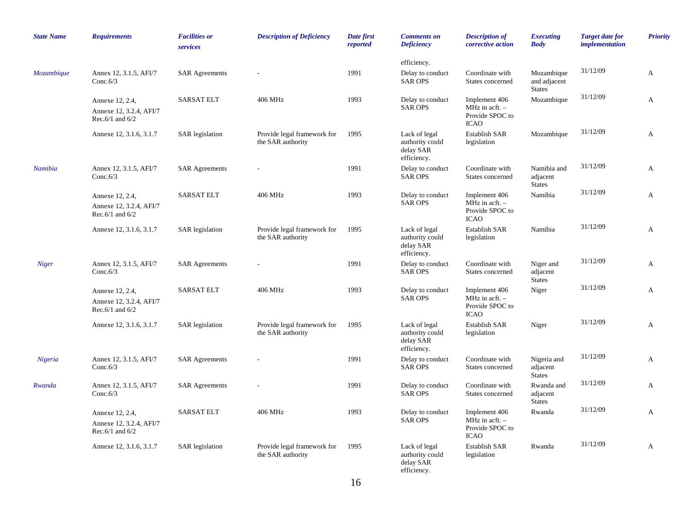| <b>State Name</b> | <b>Requirements</b>                                                | <b>Facilities or</b><br>services | <b>Description of Deficiency</b>                 | Date first<br>reported | <b>Comments</b> on<br><b>Deficiency</b>                      | <b>Description of</b><br>corrective action                          | <b>Executing</b><br><b>Body</b>             | <b>Target date for</b><br><i>implementation</i> | <b>Priority</b> |
|-------------------|--------------------------------------------------------------------|----------------------------------|--------------------------------------------------|------------------------|--------------------------------------------------------------|---------------------------------------------------------------------|---------------------------------------------|-------------------------------------------------|-----------------|
|                   |                                                                    |                                  |                                                  |                        | efficiency.                                                  |                                                                     |                                             |                                                 |                 |
| Mozambique        | Annex 12, 3.1.5, AFI/7<br>Conc. $6/3$                              | <b>SAR Agreements</b>            |                                                  | 1991                   | Delay to conduct<br><b>SAR OPS</b>                           | Coordinate with<br>States concerned                                 | Mozambique<br>and adjacent<br><b>States</b> | 31/12/09                                        | A               |
|                   | Annexe 12, 2.4,<br>Annexe 12, 3.2.4, AFI/7<br>Rec. $6/1$ and $6/2$ | <b>SARSAT ELT</b>                | 406 MHz                                          | 1993                   | Delay to conduct<br><b>SAR OPS</b>                           | Implement 406<br>MHz in acft. -<br>Provide SPOC to<br><b>ICAO</b>   | Mozambique                                  | 31/12/09                                        | A               |
|                   | Annexe 12, 3.1.6, 3.1.7                                            | <b>SAR</b> legislation           | Provide legal framework for<br>the SAR authority | 1995                   | Lack of legal<br>authority could<br>delay SAR<br>efficiency. | Establish SAR<br>legislation                                        | Mozambique                                  | 31/12/09                                        | A               |
| Namibia           | Annex 12, 3.1.5, AFI/7<br>Conc. $6/3$                              | <b>SAR Agreements</b>            |                                                  | 1991                   | Delay to conduct<br><b>SAR OPS</b>                           | Coordinate with<br>States concerned                                 | Namibia and<br>adjacent<br><b>States</b>    | 31/12/09                                        | A               |
|                   | Annexe 12, 2.4,<br>Annexe 12, 3.2.4, AFI/7<br>Rec. $6/1$ and $6/2$ | <b>SARSAT ELT</b>                | 406 MHz                                          | 1993                   | Delay to conduct<br><b>SAR OPS</b>                           | Implement 406<br>MHz in acft. -<br>Provide SPOC to<br><b>ICAO</b>   | Namibia                                     | 31/12/09                                        | A               |
|                   | Annexe 12, 3.1.6, 3.1.7                                            | <b>SAR</b> legislation           | Provide legal framework for<br>the SAR authority | 1995                   | Lack of legal<br>authority could<br>delay SAR<br>efficiency. | Establish SAR<br>legislation                                        | Namibia                                     | 31/12/09                                        | A               |
| <b>Niger</b>      | Annex 12, 3.1.5, AFI/7<br>Conc. $6/3$                              | <b>SAR Agreements</b>            |                                                  | 1991                   | Delay to conduct<br><b>SAR OPS</b>                           | Coordinate with<br>States concerned                                 | Niger and<br>adjacent<br><b>States</b>      | 31/12/09                                        | A               |
|                   | Annexe 12, 2.4,<br>Annexe 12, 3.2.4, AFI/7<br>Rec. $6/1$ and $6/2$ | <b>SARSAT ELT</b>                | 406 MHz                                          | 1993                   | Delay to conduct<br><b>SAR OPS</b>                           | Implement 406<br>MHz in acft. -<br>Provide SPOC to<br><b>ICAO</b>   | Niger                                       | 31/12/09                                        | A               |
|                   | Annexe 12, 3.1.6, 3.1.7                                            | <b>SAR</b> legislation           | Provide legal framework for<br>the SAR authority | 1995                   | Lack of legal<br>authority could<br>delay SAR<br>efficiency. | <b>Establish SAR</b><br>legislation                                 | Niger                                       | 31/12/09                                        | A               |
| Nigeria           | Annex 12, 3.1.5, AFI/7<br>Conc. $6/3$                              | <b>SAR Agreements</b>            |                                                  | 1991                   | Delay to conduct<br><b>SAR OPS</b>                           | Coordinate with<br>States concerned                                 | Nigeria and<br>adjacent<br><b>States</b>    | 31/12/09                                        | $\mathbf{A}$    |
| Rwanda            | Annex 12, 3.1.5, AFI/7<br>Conc. $6/3$                              | <b>SAR Agreements</b>            |                                                  | 1991                   | Delay to conduct<br><b>SAR OPS</b>                           | Coordinate with<br>States concerned                                 | Rwanda and<br>adjacent<br><b>States</b>     | 31/12/09                                        | A               |
|                   | Annexe 12, 2.4,<br>Annexe 12, 3.2.4, AFI/7<br>Rec.6/1 and $6/2$    | <b>SARSAT ELT</b>                | 406 MHz                                          | 1993                   | Delay to conduct<br><b>SAR OPS</b>                           | Implement 406<br>MHz in acft. $-$<br>Provide SPOC to<br><b>ICAO</b> | Rwanda                                      | 31/12/09                                        | A               |
|                   | Annexe 12, 3.1.6, 3.1.7                                            | <b>SAR</b> legislation           | Provide legal framework for<br>the SAR authority | 1995                   | Lack of legal<br>authority could<br>delay SAR<br>efficiency. | <b>Establish SAR</b><br>legislation                                 | Rwanda                                      | 31/12/09                                        | A               |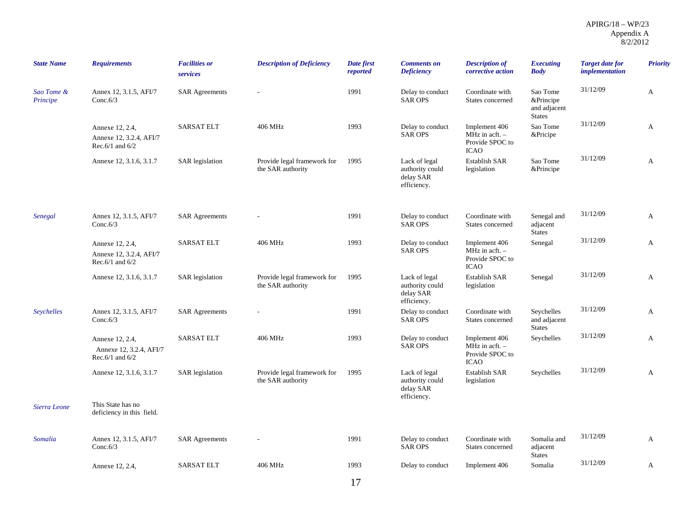| <b>State Name</b>      | <b>Requirements</b>                                                | <b>Facilities or</b><br>services | <b>Description of Deficiency</b>                 | Date first<br>reported | <b>Comments</b> on<br><b>Deficiency</b>                      | <b>Description of</b><br>corrective action                                          | <b>Executing</b><br><b>Body</b>                        | <b>Target date for</b><br>implementation | <b>Priority</b> |
|------------------------|--------------------------------------------------------------------|----------------------------------|--------------------------------------------------|------------------------|--------------------------------------------------------------|-------------------------------------------------------------------------------------|--------------------------------------------------------|------------------------------------------|-----------------|
| Sao Tome &<br>Principe | Annex 12, 3.1.5, AFI/7<br>Conc. $6/3$                              | <b>SAR Agreements</b>            |                                                  | 1991                   | Delay to conduct<br><b>SAR OPS</b>                           | Coordinate with<br>States concerned                                                 | Sao Tome<br>&Principe<br>and adjacent<br><b>States</b> | 31/12/09                                 | A               |
|                        | Annexe 12, 2.4,<br>Annexe 12, 3.2.4, AFI/7<br>Rec. $6/1$ and $6/2$ | <b>SARSAT ELT</b>                | 406 MHz                                          | 1993                   | Delay to conduct<br><b>SAR OPS</b>                           | Implement 406<br>MHz in $\operatorname{acft}$ . -<br>Provide SPOC to<br><b>ICAO</b> | Sao Tome<br>&Pricipe                                   | 31/12/09                                 | A               |
|                        | Annexe 12, 3.1.6, 3.1.7                                            | <b>SAR</b> legislation           | Provide legal framework for<br>the SAR authority | 1995                   | Lack of legal<br>authority could<br>delay SAR<br>efficiency. | <b>Establish SAR</b><br>legislation                                                 | Sao Tome<br>&Principe                                  | 31/12/09                                 | A               |
| Senegal                | Annex 12, 3.1.5, AFI/7<br>Conc. $6/3$                              | <b>SAR Agreements</b>            |                                                  | 1991                   | Delay to conduct<br><b>SAR OPS</b>                           | Coordinate with<br>States concerned                                                 | Senegal and<br>adjacent<br><b>States</b>               | 31/12/09                                 | A               |
|                        | Annexe 12, 2.4,<br>Annexe 12, 3.2.4, AFI/7<br>Rec.6/1 and $6/2$    | <b>SARSAT ELT</b>                | 406 MHz                                          | 1993                   | Delay to conduct<br><b>SAR OPS</b>                           | Implement 406<br>MHz in acft. -<br>Provide SPOC to<br><b>ICAO</b>                   | Senegal                                                | 31/12/09                                 | A               |
|                        | Annexe 12, 3.1.6, 3.1.7                                            | <b>SAR</b> legislation           | Provide legal framework for<br>the SAR authority | 1995                   | Lack of legal<br>authority could<br>delay SAR<br>efficiency. | <b>Establish SAR</b><br>legislation                                                 | Senegal                                                | 31/12/09                                 | A               |
| Seychelles             | Annex 12, 3.1.5, AFI/7<br>Conc. $6/3$                              | <b>SAR Agreements</b>            |                                                  | 1991                   | Delay to conduct<br><b>SAR OPS</b>                           | Coordinate with<br>States concerned                                                 | Seychelles<br>and adjacent<br><b>States</b>            | 31/12/09                                 | A               |
|                        | Annexe 12, 2.4,<br>Annexe 12, 3.2.4, AFI/7<br>Rec. $6/1$ and $6/2$ | <b>SARSAT ELT</b>                | 406 MHz                                          | 1993                   | Delay to conduct<br><b>SAR OPS</b>                           | Implement 406<br>$MHz$ in acft. $-$<br>Provide SPOC to<br><b>ICAO</b>               | Seychelles                                             | 31/12/09                                 | A               |
|                        | Annexe 12, 3.1.6, 3.1.7                                            | <b>SAR</b> legislation           | Provide legal framework for<br>the SAR authority | 1995                   | Lack of legal<br>authority could<br>delay SAR<br>efficiency. | <b>Establish SAR</b><br>legislation                                                 | Seychelles                                             | 31/12/09                                 | A               |
| Sierra Leone           | This State has no<br>deficiency in this field.                     |                                  |                                                  |                        |                                                              |                                                                                     |                                                        |                                          |                 |
| Somalia                | Annex 12, 3.1.5, AFI/7<br>Conc. $6/3$                              | <b>SAR Agreements</b>            |                                                  | 1991                   | Delay to conduct<br><b>SAR OPS</b>                           | Coordinate with<br>States concerned                                                 | Somalia and<br>adjacent<br><b>States</b>               | 31/12/09                                 | $\mathbf{A}$    |
|                        | Annexe 12, 2.4,                                                    | <b>SARSAT ELT</b>                | 406 MHz                                          | 1993                   | Delay to conduct                                             | Implement 406                                                                       | Somalia                                                | 31/12/09                                 | A               |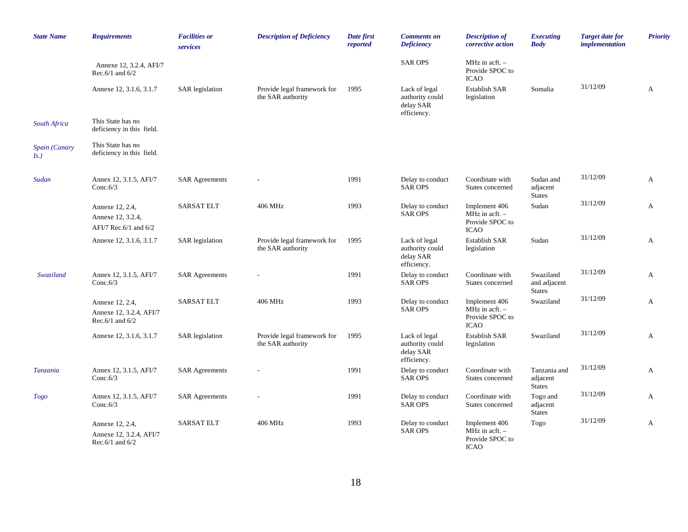| <b>State Name</b>        | <b>Requirements</b>                                                | <b>Facilities or</b><br>services | <b>Description of Deficiency</b>                 | Date first<br>reported | <b>Comments on</b><br><b>Deficiency</b>                      | <b>Description of</b><br>corrective action                                          | <b>Executing</b><br><b>Body</b>            | <b>Target date for</b><br><i>implementation</i> | <b>Priority</b> |
|--------------------------|--------------------------------------------------------------------|----------------------------------|--------------------------------------------------|------------------------|--------------------------------------------------------------|-------------------------------------------------------------------------------------|--------------------------------------------|-------------------------------------------------|-----------------|
|                          | Annexe 12, 3.2.4, AFI/7<br>Rec. $6/1$ and $6/2$                    |                                  |                                                  |                        | <b>SAR OPS</b>                                               | MHz in $\operatorname{acft.}$ -<br>Provide SPOC to<br><b>ICAO</b>                   |                                            |                                                 |                 |
|                          | Annexe 12, 3.1.6, 3.1.7                                            | <b>SAR</b> legislation           | Provide legal framework for<br>the SAR authority | 1995                   | Lack of legal<br>authority could<br>delay SAR<br>efficiency. | Establish SAR<br>legislation                                                        | Somalia                                    | 31/12/09                                        | A               |
| South Africa             | This State has no<br>deficiency in this field.                     |                                  |                                                  |                        |                                                              |                                                                                     |                                            |                                                 |                 |
| Spain (Canary<br>$Is.$ ) | This State has no<br>deficiency in this field.                     |                                  |                                                  |                        |                                                              |                                                                                     |                                            |                                                 |                 |
| Sudan                    | Annex 12, 3.1.5, AFI/7<br>Conc. $6/3$                              | <b>SAR Agreements</b>            |                                                  | 1991                   | Delay to conduct<br><b>SAR OPS</b>                           | Coordinate with<br>States concerned                                                 | Sudan and<br>adjacent<br><b>States</b>     | 31/12/09                                        | A               |
|                          | Annexe 12, 2.4,<br>Annexe 12, 3.2.4,<br>AFI/7 Rec.6/1 and 6/2      | <b>SARSAT ELT</b>                | 406 MHz                                          | 1993                   | Delay to conduct<br><b>SAR OPS</b>                           | Implement 406<br>MHz in $\operatorname{acft.}$ -<br>Provide SPOC to<br><b>ICAO</b>  | Sudan                                      | 31/12/09                                        | $\mathbf{A}$    |
|                          | Annexe 12, 3.1.6, 3.1.7                                            | <b>SAR</b> legislation           | Provide legal framework for<br>the SAR authority | 1995                   | Lack of legal<br>authority could<br>delay SAR<br>efficiency. | <b>Establish SAR</b><br>legislation                                                 | Sudan                                      | 31/12/09                                        | A               |
| Swaziland                | Annex 12, 3.1.5, AFI/7<br>Conc. $6/3$                              | <b>SAR Agreements</b>            |                                                  | 1991                   | Delay to conduct<br><b>SAR OPS</b>                           | Coordinate with<br>States concerned                                                 | Swaziland<br>and adjacent<br><b>States</b> | 31/12/09                                        | $\mathbf{A}$    |
|                          | Annexe 12, 2.4,<br>Annexe 12, 3.2.4, AFI/7<br>Rec. $6/1$ and $6/2$ | <b>SARSAT ELT</b>                | 406 MHz                                          | 1993                   | Delay to conduct<br><b>SAR OPS</b>                           | Implement 406<br>$MHz$ in acft. $-$<br>Provide SPOC to<br><b>ICAO</b>               | Swaziland                                  | 31/12/09                                        | $\mathbf{A}$    |
|                          | Annexe 12, 3.1.6, 3.1.7                                            | <b>SAR</b> legislation           | Provide legal framework for<br>the SAR authority | 1995                   | Lack of legal<br>authority could<br>delay SAR<br>efficiency. | <b>Establish SAR</b><br>legislation                                                 | Swaziland                                  | 31/12/09                                        | A               |
| Tanzania                 | Annex 12, 3.1.5, AFI/7<br>Conc. $6/3$                              | <b>SAR Agreements</b>            |                                                  | 1991                   | Delay to conduct<br><b>SAR OPS</b>                           | Coordinate with<br>States concerned                                                 | Tanzania and<br>adjacent<br><b>States</b>  | 31/12/09                                        | $\mathbf{A}$    |
| Togo                     | Annex 12, 3.1.5, AFI/7<br>Conc. $6/3$                              | <b>SAR Agreements</b>            |                                                  | 1991                   | Delay to conduct<br><b>SAR OPS</b>                           | Coordinate with<br>States concerned                                                 | Togo and<br>adjacent<br><b>States</b>      | 31/12/09                                        | $\mathbf{A}$    |
|                          | Annexe 12, 2.4,<br>Annexe 12, 3.2.4, AFI/7<br>Rec. $6/1$ and $6/2$ | <b>SARSAT ELT</b>                | 406 MHz                                          | 1993                   | Delay to conduct<br><b>SAR OPS</b>                           | Implement 406<br>MHz in $\operatorname{acft}$ . -<br>Provide SPOC to<br><b>ICAO</b> | Togo                                       | 31/12/09                                        | A               |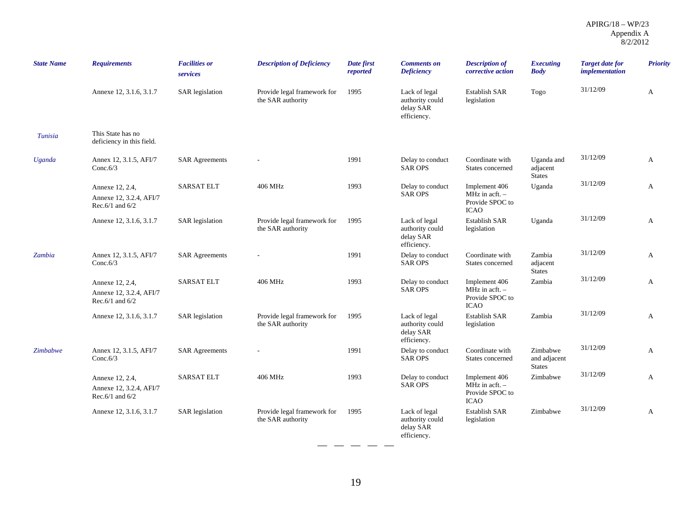| <b>State Name</b> | <b>Requirements</b>                                                | <b>Facilities or</b><br>services | <b>Description of Deficiency</b>                 | Date first<br>reported | <b>Comments on</b><br><b>Deficiency</b>                      | <b>Description of</b><br>corrective action                                          | <b>Executing</b><br><b>Body</b>           | <b>Target date for</b><br><i>implementation</i> | <b>Priority</b> |
|-------------------|--------------------------------------------------------------------|----------------------------------|--------------------------------------------------|------------------------|--------------------------------------------------------------|-------------------------------------------------------------------------------------|-------------------------------------------|-------------------------------------------------|-----------------|
|                   | Annexe 12, 3.1.6, 3.1.7                                            | <b>SAR</b> legislation           | Provide legal framework for<br>the SAR authority | 1995                   | Lack of legal<br>authority could<br>delay SAR<br>efficiency. | <b>Establish SAR</b><br>legislation                                                 | Togo                                      | 31/12/09                                        | A               |
| Tunisia           | This State has no<br>deficiency in this field.                     |                                  |                                                  |                        |                                                              |                                                                                     |                                           |                                                 |                 |
| Uganda            | Annex 12, 3.1.5, AFI/7<br>Conc.6/3                                 | <b>SAR Agreements</b>            |                                                  | 1991                   | Delay to conduct<br><b>SAR OPS</b>                           | Coordinate with<br>States concerned                                                 | Uganda and<br>adjacent<br><b>States</b>   | 31/12/09                                        | A               |
|                   | Annexe 12, 2.4,<br>Annexe 12, 3.2.4, AFI/7<br>Rec. $6/1$ and $6/2$ | <b>SARSAT ELT</b>                | 406 MHz                                          | 1993                   | Delay to conduct<br><b>SAR OPS</b>                           | Implement 406<br>MHz in $\operatorname{acft}$ . -<br>Provide SPOC to<br><b>ICAO</b> | Uganda                                    | 31/12/09                                        | A               |
|                   | Annexe 12, 3.1.6, 3.1.7                                            | <b>SAR</b> legislation           | Provide legal framework for<br>the SAR authority | 1995                   | Lack of legal<br>authority could<br>delay SAR<br>efficiency. | Establish SAR<br>legislation                                                        | Uganda                                    | 31/12/09                                        | A               |
| Zambia            | Annex 12, 3.1.5, AFI/7<br>Conc. $6/3$                              | <b>SAR Agreements</b>            | $\overline{a}$                                   | 1991                   | Delay to conduct<br><b>SAR OPS</b>                           | Coordinate with<br>States concerned                                                 | Zambia<br>adjacent<br><b>States</b>       | 31/12/09                                        | A               |
|                   | Annexe 12, 2.4,<br>Annexe 12, 3.2.4, AFI/7<br>Rec.6/1 and $6/2$    | <b>SARSAT ELT</b>                | 406 MHz                                          | 1993                   | Delay to conduct<br><b>SAR OPS</b>                           | Implement 406<br>MHz in $\text{acft.}$ -<br>Provide SPOC to<br><b>ICAO</b>          | Zambia                                    | 31/12/09                                        | $\mathbf{A}$    |
|                   | Annexe 12, 3.1.6, 3.1.7                                            | <b>SAR</b> legislation           | Provide legal framework for<br>the SAR authority | 1995                   | Lack of legal<br>authority could<br>delay SAR<br>efficiency. | Establish SAR<br>legislation                                                        | Zambia                                    | 31/12/09                                        | A               |
| Zimbabwe          | Annex 12, 3.1.5, AFI/7<br>Conc. $6/3$                              | <b>SAR Agreements</b>            | $\overline{\phantom{a}}$                         | 1991                   | Delay to conduct<br><b>SAR OPS</b>                           | Coordinate with<br>States concerned                                                 | Zimbabwe<br>and adjacent<br><b>States</b> | 31/12/09                                        | A               |
|                   | Annexe 12, 2.4,<br>Annexe 12, 3.2.4, AFI/7<br>Rec.6/1 and $6/2$    | <b>SARSAT ELT</b>                | 406 MHz                                          | 1993                   | Delay to conduct<br><b>SAR OPS</b>                           | Implement 406<br>$MHz$ in acft. $-$<br>Provide SPOC to<br><b>ICAO</b>               | Zimbabwe                                  | 31/12/09                                        | A               |
|                   | Annexe 12, 3.1.6, 3.1.7                                            | <b>SAR</b> legislation           | Provide legal framework for<br>the SAR authority | 1995                   | Lack of legal<br>authority could<br>delay SAR<br>efficiency. | <b>Establish SAR</b><br>legislation                                                 | Zimbabwe                                  | 31/12/09                                        | A               |

 $- - - -$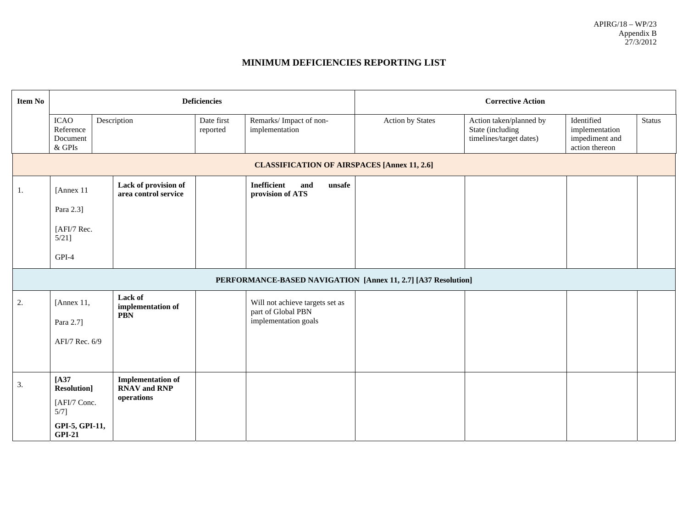#### **MINIMUM DEFICIENCIES REPORTING LIST**

| <b>Item No</b> |                                                                                              |                                                                      | <b>Deficiencies</b>    |                                                                               | <b>Corrective Action</b> |                                                                        |                                                                  |        |  |  |
|----------------|----------------------------------------------------------------------------------------------|----------------------------------------------------------------------|------------------------|-------------------------------------------------------------------------------|--------------------------|------------------------------------------------------------------------|------------------------------------------------------------------|--------|--|--|
|                | <b>ICAO</b><br>Reference<br>Document<br>& GPIs                                               | Description                                                          | Date first<br>reported | Remarks/ Impact of non-<br>implementation                                     | <b>Action by States</b>  | Action taken/planned by<br>State (including<br>timelines/target dates) | Identified<br>implementation<br>impediment and<br>action thereon | Status |  |  |
|                |                                                                                              |                                                                      |                        | <b>CLASSIFICATION OF AIRSPACES [Annex 11, 2.6]</b>                            |                          |                                                                        |                                                                  |        |  |  |
| 1.             | [Annex 11<br>Para 2.3]<br>[AFI/7 Rec.<br>$5/21$ ]<br>GPI-4                                   | Lack of provision of<br>area control service                         |                        | <b>Inefficient</b><br>unsafe<br>and<br>provision of ATS                       |                          |                                                                        |                                                                  |        |  |  |
|                |                                                                                              |                                                                      |                        | PERFORMANCE-BASED NAVIGATION [Annex 11, 2.7] [A37 Resolution]                 |                          |                                                                        |                                                                  |        |  |  |
| 2.             | [Annex 11,<br>Para 2.7]<br>AFI/7 Rec. 6/9                                                    | Lack of<br>implementation of<br><b>PBN</b>                           |                        | Will not achieve targets set as<br>part of Global PBN<br>implementation goals |                          |                                                                        |                                                                  |        |  |  |
| 3.             | $[A37]$<br><b>Resolution</b> ]<br>[AFI/7 Conc.<br>$5/7$ ]<br>GPI-5, GPI-11,<br><b>GPI-21</b> | <b>Implementation of</b><br><b>RNAV</b> and <b>RNP</b><br>operations |                        |                                                                               |                          |                                                                        |                                                                  |        |  |  |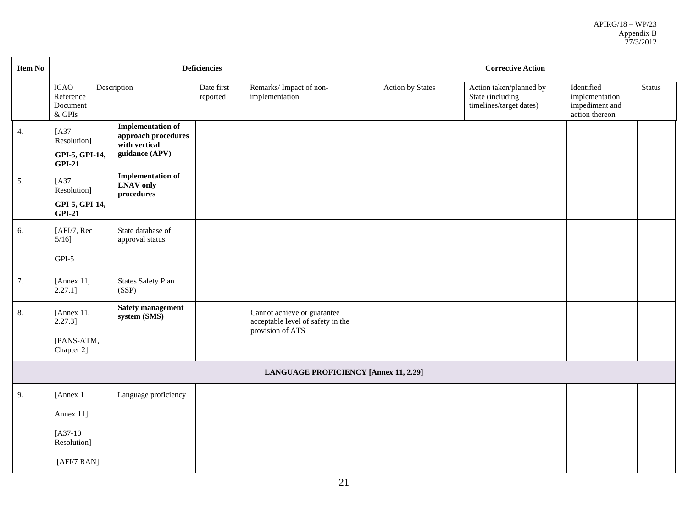| <b>Item No</b> |                                                           |                                                                                    | <b>Deficiencies</b>    |                                                                                      |                  | <b>Corrective Action</b>                                               |                                                                  |               |
|----------------|-----------------------------------------------------------|------------------------------------------------------------------------------------|------------------------|--------------------------------------------------------------------------------------|------------------|------------------------------------------------------------------------|------------------------------------------------------------------|---------------|
|                | <b>ICAO</b><br>Reference<br>Document<br>$\&$ GPIs         | Description                                                                        | Date first<br>reported | Remarks/Impact of non-<br>implementation                                             | Action by States | Action taken/planned by<br>State (including<br>timelines/target dates) | Identified<br>implementation<br>impediment and<br>action thereon | <b>Status</b> |
| 4.             | $[A37]$<br>Resolution]<br>GPI-5, GPI-14,<br><b>GPI-21</b> | <b>Implementation of</b><br>approach procedures<br>with vertical<br>guidance (APV) |                        |                                                                                      |                  |                                                                        |                                                                  |               |
| 5.             | [A37<br>Resolution]<br>GPI-5, GPI-14,<br>$GPI-21$         | <b>Implementation of</b><br><b>LNAV</b> only<br>procedures                         |                        |                                                                                      |                  |                                                                        |                                                                  |               |
| 6.             | [AFI/7, Rec<br>$5/16$ ]                                   | State database of<br>approval status                                               |                        |                                                                                      |                  |                                                                        |                                                                  |               |
|                | $GPI-5$                                                   |                                                                                    |                        |                                                                                      |                  |                                                                        |                                                                  |               |
| 7.             | [Annex 11,<br>$2.27.1$ ]                                  | <b>States Safety Plan</b><br>(SSP)                                                 |                        |                                                                                      |                  |                                                                        |                                                                  |               |
| 8.             | [Annex 11,<br>$2.27.3$ ]<br>[PANS-ATM,<br>Chapter 2]      | <b>Safety management</b><br>system (SMS)                                           |                        | Cannot achieve or guarantee<br>acceptable level of safety in the<br>provision of ATS |                  |                                                                        |                                                                  |               |
|                |                                                           |                                                                                    |                        | <b>LANGUAGE PROFICIENCY [Annex 11, 2.29]</b>                                         |                  |                                                                        |                                                                  |               |
| 9.             | [Annex 1]<br>Annex 11]<br>$[A37-10]$<br>Resolution]       | Language proficiency                                                               |                        |                                                                                      |                  |                                                                        |                                                                  |               |
|                | [AFI/7 RAN]                                               |                                                                                    |                        |                                                                                      |                  |                                                                        |                                                                  |               |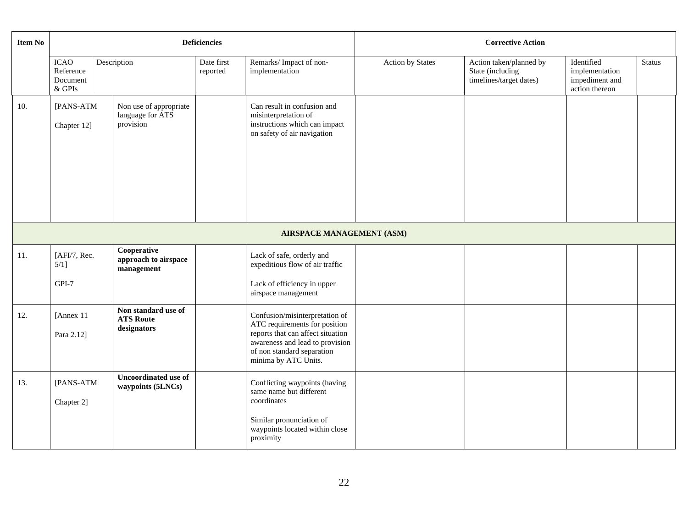| <b>Item No</b> |                                           |                                                         | <b>Deficiencies</b>    |                                                                                                                                                                                               | <b>Corrective Action</b> |                                                                        |                                                                  |               |  |  |
|----------------|-------------------------------------------|---------------------------------------------------------|------------------------|-----------------------------------------------------------------------------------------------------------------------------------------------------------------------------------------------|--------------------------|------------------------------------------------------------------------|------------------------------------------------------------------|---------------|--|--|
|                | ICAO<br>Reference<br>Document<br>$&$ GPIs | Description                                             | Date first<br>reported | Remarks/Impact of non-<br>implementation                                                                                                                                                      | Action by States         | Action taken/planned by<br>State (including<br>timelines/target dates) | Identified<br>implementation<br>impediment and<br>action thereon | <b>Status</b> |  |  |
| 10.            | [PANS-ATM<br>Chapter 12]                  | Non use of appropriate<br>language for ATS<br>provision |                        | Can result in confusion and<br>misinterpretation of<br>instructions which can impact<br>on safety of air navigation                                                                           |                          |                                                                        |                                                                  |               |  |  |
|                | <b>AIRSPACE MANAGEMENT (ASM)</b>          |                                                         |                        |                                                                                                                                                                                               |                          |                                                                        |                                                                  |               |  |  |
| 11.            | [AFI/7, Rec.<br>$5/1$ ]<br>GPI-7          | Cooperative<br>approach to airspace<br>management       |                        | Lack of safe, orderly and<br>expeditious flow of air traffic<br>Lack of efficiency in upper                                                                                                   |                          |                                                                        |                                                                  |               |  |  |
|                |                                           |                                                         |                        | airspace management                                                                                                                                                                           |                          |                                                                        |                                                                  |               |  |  |
| 12.            | [Annex 11<br>Para 2.12]                   | Non standard use of<br><b>ATS Route</b><br>designators  |                        | Confusion/misinterpretation of<br>ATC requirements for position<br>reports that can affect situation<br>awareness and lead to provision<br>of non standard separation<br>minima by ATC Units. |                          |                                                                        |                                                                  |               |  |  |
| 13.            | [PANS-ATM<br>Chapter 2]                   | <b>Uncoordinated use of</b><br>waypoints (5LNCs)        |                        | Conflicting waypoints (having<br>same name but different<br>coordinates<br>Similar pronunciation of<br>waypoints located within close<br>proximity                                            |                          |                                                                        |                                                                  |               |  |  |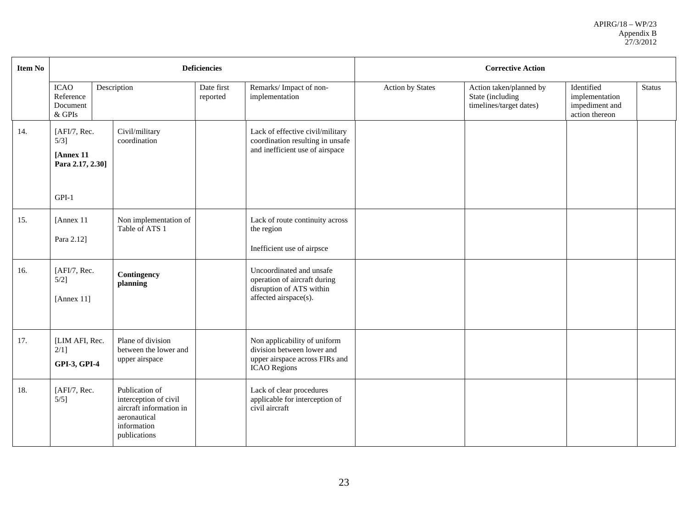| <b>Item No</b> |                                                                     |                                                                                                                   | <b>Deficiencies</b>    |                                                                                                                     | <b>Corrective Action</b> |                                                                        |                                                                  |        |  |
|----------------|---------------------------------------------------------------------|-------------------------------------------------------------------------------------------------------------------|------------------------|---------------------------------------------------------------------------------------------------------------------|--------------------------|------------------------------------------------------------------------|------------------------------------------------------------------|--------|--|
|                | <b>ICAO</b><br>Reference<br>Document<br>$\&$ GPIs                   | Description                                                                                                       | Date first<br>reported | Remarks/Impact of non-<br>implementation                                                                            | <b>Action by States</b>  | Action taken/planned by<br>State (including<br>timelines/target dates) | Identified<br>implementation<br>impediment and<br>action thereon | Status |  |
| 14.            | [AFI/7, Rec.<br>$5/3$ ]<br>[Annex 11<br>Para 2.17, 2.30]<br>$GPI-1$ | Civil/military<br>coordination                                                                                    |                        | Lack of effective civil/military<br>coordination resulting in unsafe<br>and inefficient use of airspace             |                          |                                                                        |                                                                  |        |  |
| 15.            | [Annex 11]<br>Para 2.12]                                            | Non implementation of<br>Table of ATS 1                                                                           |                        | Lack of route continuity across<br>the region<br>Inefficient use of airpsce                                         |                          |                                                                        |                                                                  |        |  |
| 16.            | [AFI/7, Rec.<br>$5/2$ ]<br>[Annex $11$ ]                            | Contingency<br>planning                                                                                           |                        | Uncoordinated and unsafe<br>operation of aircraft during<br>disruption of ATS within<br>affected airspace(s).       |                          |                                                                        |                                                                  |        |  |
| 17.            | [LIM AFI, Rec.<br>$2/1$ ]<br><b>GPI-3, GPI-4</b>                    | Plane of division<br>between the lower and<br>upper airspace                                                      |                        | Non applicability of uniform<br>division between lower and<br>upper airspace across FIRs and<br><b>ICAO</b> Regions |                          |                                                                        |                                                                  |        |  |
| 18.            | [AFI/7, Rec.<br>$5/5$ ]                                             | Publication of<br>interception of civil<br>aircraft information in<br>aeronautical<br>information<br>publications |                        | Lack of clear procedures<br>applicable for interception of<br>civil aircraft                                        |                          |                                                                        |                                                                  |        |  |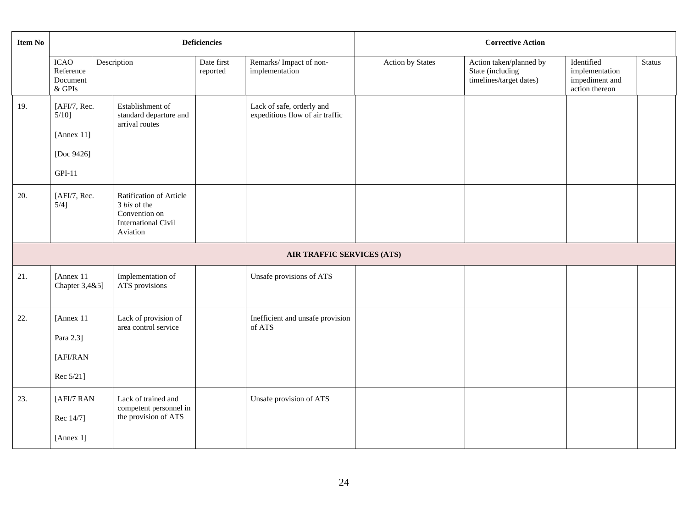| Item No |                                                                  |                                                                                                    | <b>Deficiencies</b>    |                                                              | <b>Corrective Action</b> |                                                                        |                                                                  |               |  |  |
|---------|------------------------------------------------------------------|----------------------------------------------------------------------------------------------------|------------------------|--------------------------------------------------------------|--------------------------|------------------------------------------------------------------------|------------------------------------------------------------------|---------------|--|--|
|         | <b>ICAO</b><br>Reference<br>Document<br>$\&$ GPIs                | Description                                                                                        | Date first<br>reported | Remarks/Impact of non-<br>implementation                     | Action by States         | Action taken/planned by<br>State (including<br>timelines/target dates) | Identified<br>implementation<br>impediment and<br>action thereon | <b>Status</b> |  |  |
| 19.     | [AFI/7, Rec.<br>$5/10$ ]<br>[Annex 11]<br>[Doc 9426]<br>$GPI-11$ | Establishment of<br>standard departure and<br>arrival routes                                       |                        | Lack of safe, orderly and<br>expeditious flow of air traffic |                          |                                                                        |                                                                  |               |  |  |
| 20.     | [AFI/7, Rec.<br>$5/4$ ]                                          | Ratification of Article<br>3 bis of the<br>Convention on<br><b>International Civil</b><br>Aviation |                        |                                                              |                          |                                                                        |                                                                  |               |  |  |
|         |                                                                  |                                                                                                    |                        | AIR TRAFFIC SERVICES (ATS)                                   |                          |                                                                        |                                                                  |               |  |  |
| 21.     | [Annex 11<br>Chapter 3,4&5]                                      | Implementation of<br>ATS provisions                                                                |                        | Unsafe provisions of ATS                                     |                          |                                                                        |                                                                  |               |  |  |
| 22.     | [Annex 11<br>Para 2.3]<br>[AFI/RAN<br>Rec 5/21]                  | Lack of provision of<br>area control service                                                       |                        | Inefficient and unsafe provision<br>of ATS                   |                          |                                                                        |                                                                  |               |  |  |
| 23.     | [AFI/7 RAN<br>Rec 14/7]<br>[Annex 1]                             | Lack of trained and<br>competent personnel in<br>the provision of ATS                              |                        | Unsafe provision of ATS                                      |                          |                                                                        |                                                                  |               |  |  |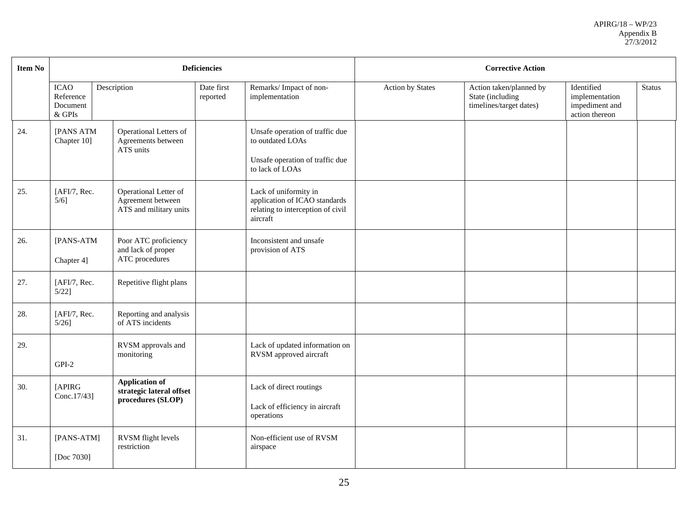| <b>Item No</b> |                                                  |                                                                        | <b>Deficiencies</b>    |                                                                                                           |                         | <b>Corrective Action</b>                                               |                                                                  |               |  |  |
|----------------|--------------------------------------------------|------------------------------------------------------------------------|------------------------|-----------------------------------------------------------------------------------------------------------|-------------------------|------------------------------------------------------------------------|------------------------------------------------------------------|---------------|--|--|
|                | <b>ICAO</b><br>Reference<br>Document<br>$&$ GPIs | Description                                                            | Date first<br>reported | Remarks/Impact of non-<br>implementation                                                                  | <b>Action by States</b> | Action taken/planned by<br>State (including<br>timelines/target dates) | Identified<br>implementation<br>impediment and<br>action thereon | <b>Status</b> |  |  |
| 24.            | [PANS ATM<br>Chapter 10]                         | Operational Letters of<br>Agreements between<br>ATS units              |                        | Unsafe operation of traffic due<br>to outdated LOAs<br>Unsafe operation of traffic due<br>to lack of LOAs |                         |                                                                        |                                                                  |               |  |  |
| 25.            | [AFI/7, Rec.<br>$5/6$ ]                          | Operational Letter of<br>Agreement between<br>ATS and military units   |                        | Lack of uniformity in<br>application of ICAO standards<br>relating to interception of civil<br>aircraft   |                         |                                                                        |                                                                  |               |  |  |
| 26.            | [PANS-ATM<br>Chapter 4]                          | Poor ATC proficiency<br>and lack of proper<br>ATC procedures           |                        | Inconsistent and unsafe<br>provision of ATS                                                               |                         |                                                                        |                                                                  |               |  |  |
| 27.            | [AFI/7, Rec.<br>$5/22$ ]                         | Repetitive flight plans                                                |                        |                                                                                                           |                         |                                                                        |                                                                  |               |  |  |
| 28.            | [AFI/7, Rec.<br>$5/26$ ]                         | Reporting and analysis<br>of ATS incidents                             |                        |                                                                                                           |                         |                                                                        |                                                                  |               |  |  |
| 29.            | $GPI-2$                                          | RVSM approvals and<br>monitoring                                       |                        | Lack of updated information on<br>RVSM approved aircraft                                                  |                         |                                                                        |                                                                  |               |  |  |
| 30.            | [APIRG<br>Conc.17/43]                            | <b>Application of</b><br>strategic lateral offset<br>procedures (SLOP) |                        | Lack of direct routings<br>Lack of efficiency in aircraft<br>operations                                   |                         |                                                                        |                                                                  |               |  |  |
| 31.            | [PANS-ATM]<br>[Doc 7030]                         | RVSM flight levels<br>restriction                                      |                        | Non-efficient use of RVSM<br>airspace                                                                     |                         |                                                                        |                                                                  |               |  |  |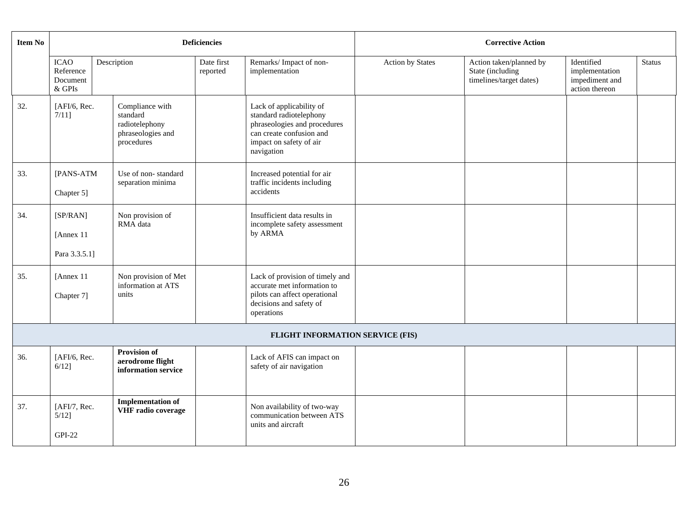| <b>Item No</b> |                                                |                                                                                  | <b>Deficiencies</b>    |                                                                                                                                                          |                         | <b>Corrective Action</b>                                               |                                                                  |               |
|----------------|------------------------------------------------|----------------------------------------------------------------------------------|------------------------|----------------------------------------------------------------------------------------------------------------------------------------------------------|-------------------------|------------------------------------------------------------------------|------------------------------------------------------------------|---------------|
|                | <b>ICAO</b><br>Reference<br>Document<br>& GPIs | Description                                                                      | Date first<br>reported | Remarks/Impact of non-<br>implementation                                                                                                                 | <b>Action by States</b> | Action taken/planned by<br>State (including<br>timelines/target dates) | Identified<br>implementation<br>impediment and<br>action thereon | <b>Status</b> |
| 32.            | [AFI/6, Rec.<br>7/111                          | Compliance with<br>standard<br>radiotelephony<br>phraseologies and<br>procedures |                        | Lack of applicability of<br>standard radiotelephony<br>phraseologies and procedures<br>can create confusion and<br>impact on safety of air<br>navigation |                         |                                                                        |                                                                  |               |
| 33.            | [PANS-ATM<br>Chapter 5]                        | Use of non-standard<br>separation minima                                         |                        | Increased potential for air<br>traffic incidents including<br>accidents                                                                                  |                         |                                                                        |                                                                  |               |
| 34.            | [SP/RAN]<br>[Annex 11<br>Para 3.3.5.1]         | Non provision of<br>RMA data                                                     |                        | Insufficient data results in<br>incomplete safety assessment<br>by ARMA                                                                                  |                         |                                                                        |                                                                  |               |
| 35.            | [Annex 11<br>Chapter 7]                        | Non provision of Met<br>information at ATS<br>units                              |                        | Lack of provision of timely and<br>accurate met information to<br>pilots can affect operational<br>decisions and safety of<br>operations                 |                         |                                                                        |                                                                  |               |
|                |                                                |                                                                                  |                        | FLIGHT INFORMATION SERVICE (FIS)                                                                                                                         |                         |                                                                        |                                                                  |               |
| 36.            | [AFI/6, Rec.<br>$6/12$ ]                       | <b>Provision of</b><br>aerodrome flight<br>information service                   |                        | Lack of AFIS can impact on<br>safety of air navigation                                                                                                   |                         |                                                                        |                                                                  |               |
| 37.            | [AFI/7, Rec.<br>$5/12$ ]<br><b>GPI-22</b>      | <b>Implementation of</b><br>VHF radio coverage                                   |                        | Non availability of two-way<br>communication between ATS<br>units and aircraft                                                                           |                         |                                                                        |                                                                  |               |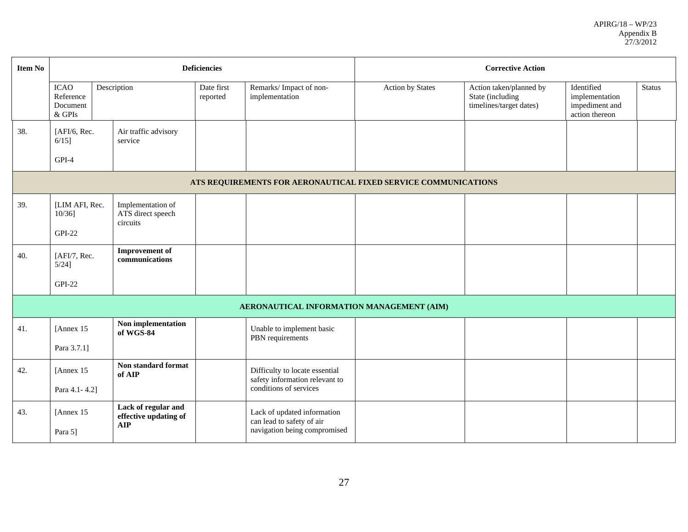| <b>Item No</b> |                                                                |                                                            | <b>Deficiencies</b> |                                                                                          | <b>Corrective Action</b> |                                                                        |                                                                  |        |  |
|----------------|----------------------------------------------------------------|------------------------------------------------------------|---------------------|------------------------------------------------------------------------------------------|--------------------------|------------------------------------------------------------------------|------------------------------------------------------------------|--------|--|
|                | <b>ICAO</b><br>Reference<br>Document<br>$&$ GPIs               | Description                                                |                     | Remarks/Impact of non-<br>implementation                                                 | <b>Action by States</b>  | Action taken/planned by<br>State (including<br>timelines/target dates) | Identified<br>implementation<br>impediment and<br>action thereon | Status |  |
| 38.            | [AFI/6, Rec.<br>$6/15$ ]                                       | Air traffic advisory<br>service                            |                     |                                                                                          |                          |                                                                        |                                                                  |        |  |
|                | GPI-4                                                          |                                                            |                     |                                                                                          |                          |                                                                        |                                                                  |        |  |
|                | ATS REQUIREMENTS FOR AERONAUTICAL FIXED SERVICE COMMUNICATIONS |                                                            |                     |                                                                                          |                          |                                                                        |                                                                  |        |  |
| 39.            | [LIM AFI, Rec.<br>$10/36$ ]<br><b>GPI-22</b>                   | Implementation of<br>ATS direct speech<br>circuits         |                     |                                                                                          |                          |                                                                        |                                                                  |        |  |
|                |                                                                | <b>Improvement</b> of                                      |                     |                                                                                          |                          |                                                                        |                                                                  |        |  |
| 40.            | [AFI/7, Rec.<br>$5/24$ ]                                       | communications                                             |                     |                                                                                          |                          |                                                                        |                                                                  |        |  |
|                | <b>GPI-22</b>                                                  |                                                            |                     |                                                                                          |                          |                                                                        |                                                                  |        |  |
|                |                                                                |                                                            |                     | AERONAUTICAL INFORMATION MANAGEMENT (AIM)                                                |                          |                                                                        |                                                                  |        |  |
| 41.            | [Annex 15]                                                     | Non implementation<br>of WGS-84                            |                     | Unable to implement basic<br>PBN requirements                                            |                          |                                                                        |                                                                  |        |  |
|                | Para 3.7.1]                                                    |                                                            |                     |                                                                                          |                          |                                                                        |                                                                  |        |  |
| 42.            | [Annex 15]                                                     | Non standard format<br>of AIP                              |                     | Difficulty to locate essential<br>safety information relevant to                         |                          |                                                                        |                                                                  |        |  |
|                | Para 4.1-4.2]                                                  |                                                            |                     | conditions of services                                                                   |                          |                                                                        |                                                                  |        |  |
| 43.            | [Annex 15]<br>Para 5]                                          | Lack of regular and<br>effective updating of<br><b>AIP</b> |                     | Lack of updated information<br>can lead to safety of air<br>navigation being compromised |                          |                                                                        |                                                                  |        |  |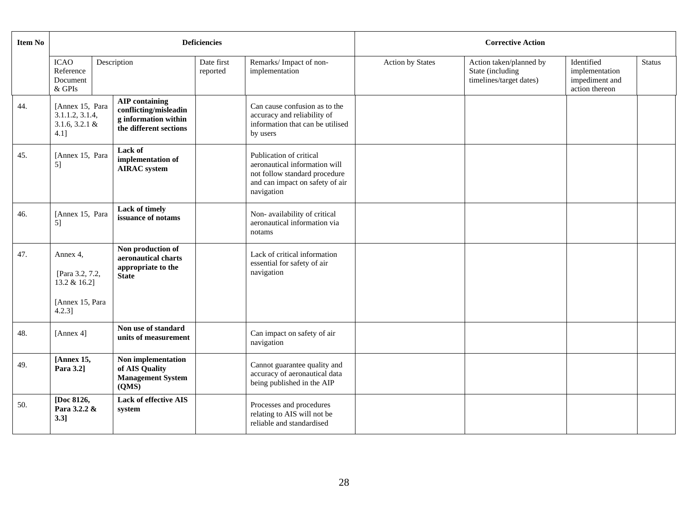| <b>Item No</b> |                                                                             |                                                                                                  | <b>Deficiencies</b> |                                                                                                                                            | <b>Corrective Action</b> |                                                                        |                                                                  |               |  |
|----------------|-----------------------------------------------------------------------------|--------------------------------------------------------------------------------------------------|---------------------|--------------------------------------------------------------------------------------------------------------------------------------------|--------------------------|------------------------------------------------------------------------|------------------------------------------------------------------|---------------|--|
|                | <b>ICAO</b><br>Reference<br>Document<br>& GPIs                              | Description                                                                                      |                     | Remarks/Impact of non-<br>implementation                                                                                                   | <b>Action by States</b>  | Action taken/planned by<br>State (including<br>timelines/target dates) | Identified<br>implementation<br>impediment and<br>action thereon | <b>Status</b> |  |
| 44.            | [Annex 15, Para<br>3.1.1.2, 3.1.4,<br>$3.1.6, 3.2.1 \&$<br>4.1]             | <b>AIP</b> containing<br>conflicting/misleadin<br>g information within<br>the different sections |                     | Can cause confusion as to the<br>accuracy and reliability of<br>information that can be utilised<br>by users                               |                          |                                                                        |                                                                  |               |  |
| 45.            | [Annex 15, Para<br>5]                                                       | Lack of<br>implementation of<br><b>AIRAC</b> system                                              |                     | Publication of critical<br>aeronautical information will<br>not follow standard procedure<br>and can impact on safety of air<br>navigation |                          |                                                                        |                                                                  |               |  |
| 46.            | [Annex 15, Para<br>5]                                                       | Lack of timely<br>issuance of notams                                                             |                     | Non-availability of critical<br>aeronautical information via<br>notams                                                                     |                          |                                                                        |                                                                  |               |  |
| 47.            | Annex 4,<br>[Para 3.2, 7.2,<br>13.2 & 16.2]<br>[Annex 15, Para<br>$4.2.3$ ] | Non production of<br>aeronautical charts<br>appropriate to the<br><b>State</b>                   |                     | Lack of critical information<br>essential for safety of air<br>navigation                                                                  |                          |                                                                        |                                                                  |               |  |
| 48.            | [Annex 4]                                                                   | Non use of standard<br>units of measurement                                                      |                     | Can impact on safety of air<br>navigation                                                                                                  |                          |                                                                        |                                                                  |               |  |
| 49.            | [Annex 15,<br>Para 3.2]                                                     | Non implementation<br>of AIS Quality<br><b>Management System</b><br>(OMS)                        |                     | Cannot guarantee quality and<br>accuracy of aeronautical data<br>being published in the AIP                                                |                          |                                                                        |                                                                  |               |  |
| 50.            | [Doc 8126,<br>Para 3.2.2 &<br>3.3]                                          | <b>Lack of effective AIS</b><br>system                                                           |                     | Processes and procedures<br>relating to AIS will not be<br>reliable and standardised                                                       |                          |                                                                        |                                                                  |               |  |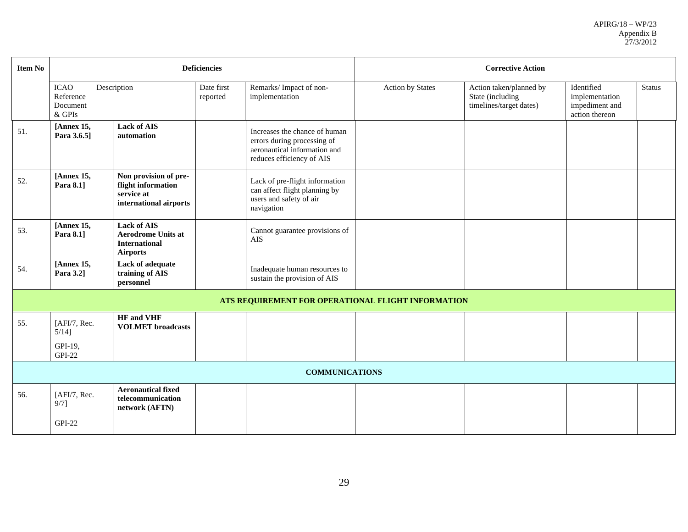| <b>Item No</b> |                                                   |                                                                                            | <b>Deficiencies</b>    |                                                                                                                           | <b>Corrective Action</b> |                                                                        |                                                                  |               |  |
|----------------|---------------------------------------------------|--------------------------------------------------------------------------------------------|------------------------|---------------------------------------------------------------------------------------------------------------------------|--------------------------|------------------------------------------------------------------------|------------------------------------------------------------------|---------------|--|
|                | <b>ICAO</b><br>Reference<br>Document<br>$\&$ GPIs | Description                                                                                | Date first<br>reported | Remarks/Impact of non-<br>implementation                                                                                  | Action by States         | Action taken/planned by<br>State (including<br>timelines/target dates) | Identified<br>implementation<br>impediment and<br>action thereon | <b>Status</b> |  |
| 51.            | [Annex 15,<br>Para 3.6.5]                         | <b>Lack of AIS</b><br>automation                                                           |                        | Increases the chance of human<br>errors during processing of<br>aeronautical information and<br>reduces efficiency of AIS |                          |                                                                        |                                                                  |               |  |
| 52.            | [Annex 15,<br>Para 8.1]                           | Non provision of pre-<br>flight information<br>service at<br>international airports        |                        | Lack of pre-flight information<br>can affect flight planning by<br>users and safety of air<br>navigation                  |                          |                                                                        |                                                                  |               |  |
| 53.            | [Annex 15,<br>Para 8.1]                           | <b>Lack of AIS</b><br><b>Aerodrome Units at</b><br><b>International</b><br><b>Airports</b> |                        | Cannot guarantee provisions of<br>AIS                                                                                     |                          |                                                                        |                                                                  |               |  |
| 54.            | [Annex 15,<br>Para 3.2]                           | Lack of adequate<br>training of AIS<br>personnel                                           |                        | Inadequate human resources to<br>sustain the provision of AIS                                                             |                          |                                                                        |                                                                  |               |  |
|                |                                                   |                                                                                            |                        | ATS REQUIREMENT FOR OPERATIONAL FLIGHT INFORMATION                                                                        |                          |                                                                        |                                                                  |               |  |
| 55.            | [AFI/7, Rec.<br>$5/14$ ]                          | <b>HF</b> and VHF<br><b>VOLMET</b> broadcasts                                              |                        |                                                                                                                           |                          |                                                                        |                                                                  |               |  |
|                | GPI-19,<br><b>GPI-22</b>                          |                                                                                            |                        |                                                                                                                           |                          |                                                                        |                                                                  |               |  |
|                |                                                   |                                                                                            |                        | <b>COMMUNICATIONS</b>                                                                                                     |                          |                                                                        |                                                                  |               |  |
| 56.            | [AFI/7, Rec.<br>$9/7$ ]<br><b>GPI-22</b>          | <b>Aeronautical fixed</b><br>telecommunication<br>network (AFTN)                           |                        |                                                                                                                           |                          |                                                                        |                                                                  |               |  |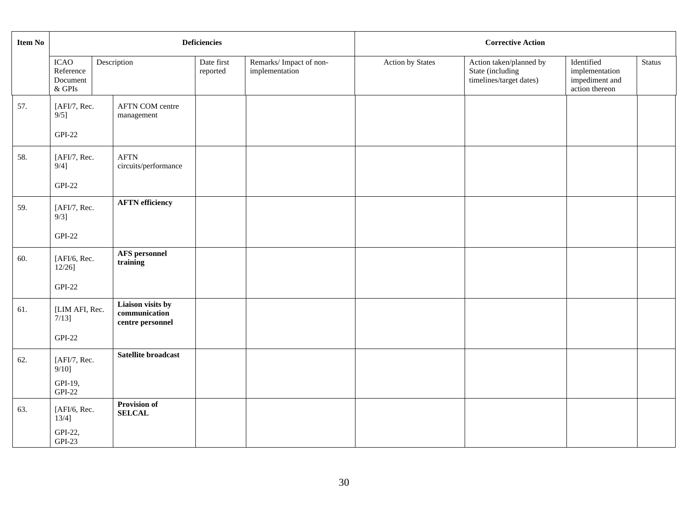| Item No |                                                   |  |                                                        | <b>Deficiencies</b>    |                                          | <b>Corrective Action</b> |                                                                        |                                                                  |               |  |
|---------|---------------------------------------------------|--|--------------------------------------------------------|------------------------|------------------------------------------|--------------------------|------------------------------------------------------------------------|------------------------------------------------------------------|---------------|--|
|         | <b>ICAO</b><br>Reference<br>Document<br>$\&$ GPIs |  | Description                                            | Date first<br>reported | Remarks/Impact of non-<br>implementation | Action by States         | Action taken/planned by<br>State (including<br>timelines/target dates) | Identified<br>implementation<br>impediment and<br>action thereon | <b>Status</b> |  |
| 57.     | [AFI/7, Rec.<br>$9/5$ ]<br>$GPI-22$               |  | AFTN COM centre<br>management                          |                        |                                          |                          |                                                                        |                                                                  |               |  |
| 58.     | [AFI/7, Rec.<br>$9/4$ ]<br>$GPI-22$               |  | <b>AFTN</b><br>circuits/performance                    |                        |                                          |                          |                                                                        |                                                                  |               |  |
| 59.     | [AFI/7, Rec.<br>$9/3$ ]<br>$GPI-22$               |  | <b>AFTN</b> efficiency                                 |                        |                                          |                          |                                                                        |                                                                  |               |  |
| 60.     | [AFI/6, Rec.<br>$12/26$ ]<br>$GPI-22$             |  | <b>AFS</b> personnel<br>training                       |                        |                                          |                          |                                                                        |                                                                  |               |  |
| 61.     | [LIM AFI, Rec.<br>$7/13$ ]<br>$GPI-22$            |  | Liaison visits by<br>communication<br>centre personnel |                        |                                          |                          |                                                                        |                                                                  |               |  |
| 62.     | [AFI/7, Rec.<br>$9/10$ ]<br>GPI-19,<br>$GPI-22$   |  | Satellite broadcast                                    |                        |                                          |                          |                                                                        |                                                                  |               |  |
| 63.     | [AFI/6, Rec.<br>$13/4$ ]<br>GPI-22,<br>$GPI-23$   |  | Provision of<br><b>SELCAL</b>                          |                        |                                          |                          |                                                                        |                                                                  |               |  |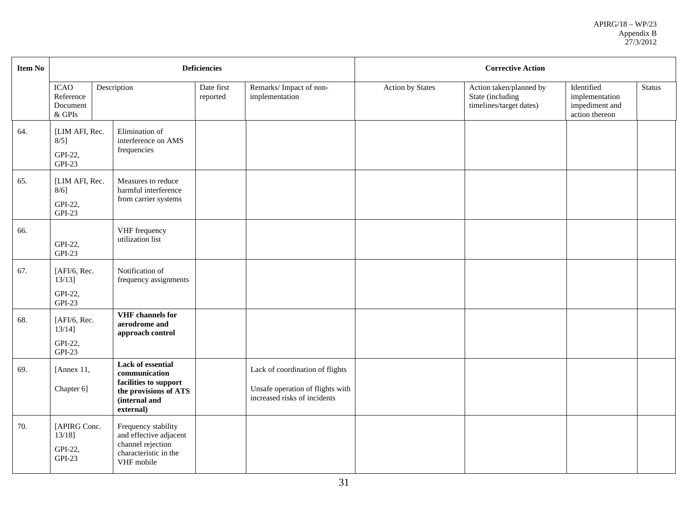| <b>Item No</b> |                                                   |                                                                                                                           | <b>Deficiencies</b> |                                                                                                     | <b>Corrective Action</b> |                                                                        |                                                                  |               |
|----------------|---------------------------------------------------|---------------------------------------------------------------------------------------------------------------------------|---------------------|-----------------------------------------------------------------------------------------------------|--------------------------|------------------------------------------------------------------------|------------------------------------------------------------------|---------------|
|                | <b>ICAO</b><br>Reference<br>Document<br>$\&$ GPIs | Description                                                                                                               |                     | Remarks/Impact of non-<br>implementation                                                            | Action by States         | Action taken/planned by<br>State (including<br>timelines/target dates) | Identified<br>implementation<br>impediment and<br>action thereon | <b>Status</b> |
| 64.            | [LIM AFI, Rec.<br>$8/5$ ]<br>GPI-22,<br>$GPI-23$  | Elimination of<br>interference on AMS<br>frequencies                                                                      |                     |                                                                                                     |                          |                                                                        |                                                                  |               |
| 65.            | [LIM AFI, Rec.<br>$8/6$ ]<br>GPI-22,<br>$GPI-23$  | Measures to reduce<br>harmful interference<br>from carrier systems                                                        |                     |                                                                                                     |                          |                                                                        |                                                                  |               |
| 66.            | GPI-22,<br>$GPI-23$                               | VHF frequency<br>utilization list                                                                                         |                     |                                                                                                     |                          |                                                                        |                                                                  |               |
| 67.            | [AFI/6, Rec.<br>$13/13$ ]<br>GPI-22,<br>$GPI-23$  | Notification of<br>frequency assignments                                                                                  |                     |                                                                                                     |                          |                                                                        |                                                                  |               |
| 68.            | [AFI/6, Rec.<br>$13/14$ ]<br>GPI-22,<br>$GPI-23$  | VHF channels for<br>aerodrome and<br>approach control                                                                     |                     |                                                                                                     |                          |                                                                        |                                                                  |               |
| 69.            | [Annex 11,<br>Chapter 6]                          | <b>Lack of essential</b><br>communication<br>facilities to support<br>the provisions of ATS<br>(internal and<br>external) |                     | Lack of coordination of flights<br>Unsafe operation of flights with<br>increased risks of incidents |                          |                                                                        |                                                                  |               |
| 70.            | [APIRG Conc.<br>$13/18$ ]<br>GPI-22,<br>$GPI-23$  | Frequency stability<br>and effective adjacent<br>channel rejection<br>characteristic in the<br>VHF mobile                 |                     |                                                                                                     |                          |                                                                        |                                                                  |               |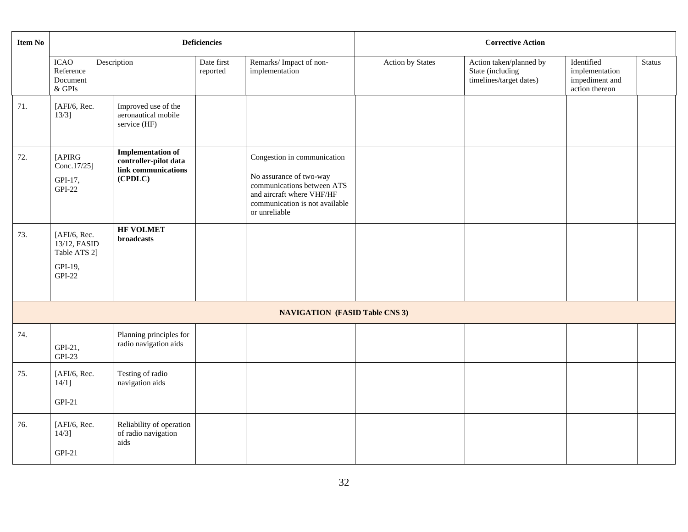| <b>Item No</b> |                                                                     |  |                                                                                     | <b>Deficiencies</b>    |                                                                                                                                                                      | <b>Corrective Action</b> |                                                                        |                                                                  |               |
|----------------|---------------------------------------------------------------------|--|-------------------------------------------------------------------------------------|------------------------|----------------------------------------------------------------------------------------------------------------------------------------------------------------------|--------------------------|------------------------------------------------------------------------|------------------------------------------------------------------|---------------|
|                | <b>ICAO</b><br>Reference<br>Document<br>$\&$ GPIs                   |  | Description                                                                         | Date first<br>reported | Remarks/Impact of non-<br>implementation                                                                                                                             | Action by States         | Action taken/planned by<br>State (including<br>timelines/target dates) | Identified<br>implementation<br>impediment and<br>action thereon | <b>Status</b> |
| 71.            | [AFI/6, Rec.<br>$13/3$ ]                                            |  | Improved use of the<br>aeronautical mobile<br>service (HF)                          |                        |                                                                                                                                                                      |                          |                                                                        |                                                                  |               |
| 72.            | [APIRG<br>Conc.17/25]<br>GPI-17,<br><b>GPI-22</b>                   |  | <b>Implementation of</b><br>controller-pilot data<br>link communications<br>(CPDLC) |                        | Congestion in communication<br>No assurance of two-way<br>communications between ATS<br>and aircraft where VHF/HF<br>communication is not available<br>or unreliable |                          |                                                                        |                                                                  |               |
| 73.            | [AFI/6, Rec.<br>13/12, FASID<br>Table ATS 2]<br>GPI-19,<br>$GPI-22$ |  | <b>HF VOLMET</b><br>broadcasts                                                      |                        |                                                                                                                                                                      |                          |                                                                        |                                                                  |               |
|                |                                                                     |  |                                                                                     |                        | <b>NAVIGATION (FASID Table CNS 3)</b>                                                                                                                                |                          |                                                                        |                                                                  |               |
| 74.            | GPI-21,<br>$GPI-23$                                                 |  | Planning principles for<br>radio navigation aids                                    |                        |                                                                                                                                                                      |                          |                                                                        |                                                                  |               |
| 75.            | [AFI/6, Rec.<br>$14/1$ ]<br>$GPI-21$                                |  | Testing of radio<br>navigation aids                                                 |                        |                                                                                                                                                                      |                          |                                                                        |                                                                  |               |
| 76.            | [ $AFI/6$ , Rec.<br>$14/3$ ]<br>$GPI-21$                            |  | Reliability of operation<br>of radio navigation<br>aids                             |                        |                                                                                                                                                                      |                          |                                                                        |                                                                  |               |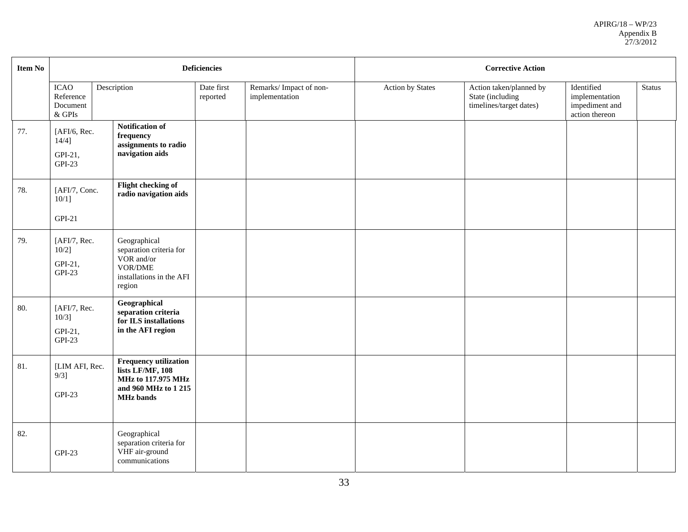| <b>Item No</b> |                                                     |                                                                                                                           | <b>Deficiencies</b>    |                                          | <b>Corrective Action</b> |                                                                        |                                                                  |               |  |
|----------------|-----------------------------------------------------|---------------------------------------------------------------------------------------------------------------------------|------------------------|------------------------------------------|--------------------------|------------------------------------------------------------------------|------------------------------------------------------------------|---------------|--|
|                | ICAO<br>Reference<br>Document<br>$\&$ GPIs          | Description                                                                                                               | Date first<br>reported | Remarks/Impact of non-<br>implementation | <b>Action by States</b>  | Action taken/planned by<br>State (including<br>timelines/target dates) | Identified<br>implementation<br>impediment and<br>action thereon | <b>Status</b> |  |
| 77.            | [ $AFI/6$ , Rec.<br>$14/4$ ]<br>GPI-21,<br>$GPI-23$ | Notification of<br>frequency<br>assignments to radio<br>navigation aids                                                   |                        |                                          |                          |                                                                        |                                                                  |               |  |
| 78.            | [AFI/7, Conc.<br>$10/1$ ]<br>$GPI-21$               | Flight checking of<br>radio navigation aids                                                                               |                        |                                          |                          |                                                                        |                                                                  |               |  |
| 79.            | [AFI/7, Rec.<br>$10/2$ ]<br>GPI-21,<br>$GPI-23$     | Geographical<br>separation criteria for<br>VOR and/or<br>VOR/DME<br>installations in the AFI<br>region                    |                        |                                          |                          |                                                                        |                                                                  |               |  |
| 80.            | [AFI/7, Rec.<br>$10/3$ ]<br>GPI-21,<br>$GPI-23$     | Geographical<br>separation criteria<br>for ILS installations<br>in the AFI region                                         |                        |                                          |                          |                                                                        |                                                                  |               |  |
| 81.            | [LIM AFI, Rec.<br>$9/3$ ]<br>$GPI-23$               | <b>Frequency utilization</b><br>lists LF/MF, 108<br><b>MHz to 117.975 MHz</b><br>and 960 MHz to 1 215<br><b>MHz</b> bands |                        |                                          |                          |                                                                        |                                                                  |               |  |
| 82.            | <b>GPI-23</b>                                       | Geographical<br>separation criteria for<br>VHF air-ground<br>communications                                               |                        |                                          |                          |                                                                        |                                                                  |               |  |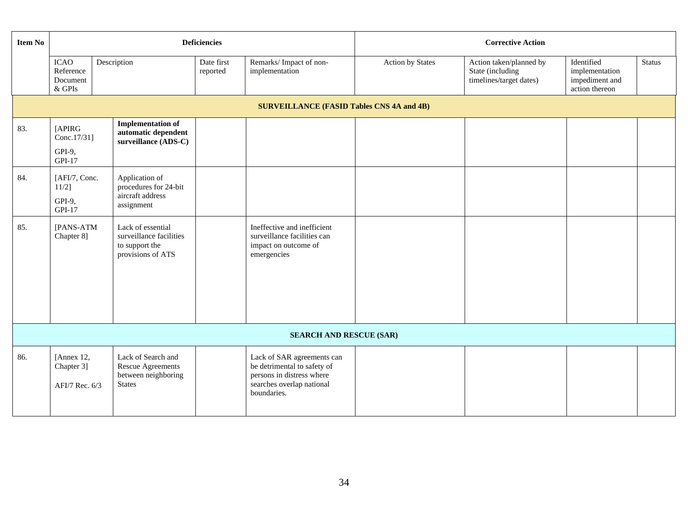| <b>Item No</b> |                                                  |             |                                                                                        | <b>Deficiencies</b>    |                                                                                                                                    | <b>Corrective Action</b> |                                                                        |                                                                  |               |
|----------------|--------------------------------------------------|-------------|----------------------------------------------------------------------------------------|------------------------|------------------------------------------------------------------------------------------------------------------------------------|--------------------------|------------------------------------------------------------------------|------------------------------------------------------------------|---------------|
|                | <b>ICAO</b><br>Reference<br>Document<br>& GPIs   | Description |                                                                                        | Date first<br>reported | Remarks/Impact of non-<br>implementation                                                                                           | <b>Action by States</b>  | Action taken/planned by<br>State (including<br>timelines/target dates) | Identified<br>implementation<br>impediment and<br>action thereon | <b>Status</b> |
|                | <b>SURVEILLANCE (FASID Tables CNS 4A and 4B)</b> |             |                                                                                        |                        |                                                                                                                                    |                          |                                                                        |                                                                  |               |
| 83.            | [APIRG<br>Conc.17/31]<br>GPI-9,<br>GPI-17        |             | <b>Implementation of</b><br>automatic dependent<br>surveillance (ADS-C)                |                        |                                                                                                                                    |                          |                                                                        |                                                                  |               |
| 84.            | [AFI/7, Conc.<br>$11/2$ ]<br>GPI-9,<br>GPI-17    |             | Application of<br>procedures for 24-bit<br>aircraft address<br>assignment              |                        |                                                                                                                                    |                          |                                                                        |                                                                  |               |
| 85.            | [PANS-ATM<br>Chapter 8]                          |             | Lack of essential<br>surveillance facilities<br>to support the<br>provisions of ATS    |                        | Ineffective and inefficient<br>surveillance facilities can<br>impact on outcome of<br>emergencies                                  |                          |                                                                        |                                                                  |               |
|                |                                                  |             |                                                                                        |                        | <b>SEARCH AND RESCUE (SAR)</b>                                                                                                     |                          |                                                                        |                                                                  |               |
| 86.            | [Annex 12,<br>Chapter 3]<br>AFI/7 Rec. 6/3       |             | Lack of Search and<br><b>Rescue Agreements</b><br>between neighboring<br><b>States</b> |                        | Lack of SAR agreements can<br>be detrimental to safety of<br>persons in distress where<br>searches overlap national<br>boundaries. |                          |                                                                        |                                                                  |               |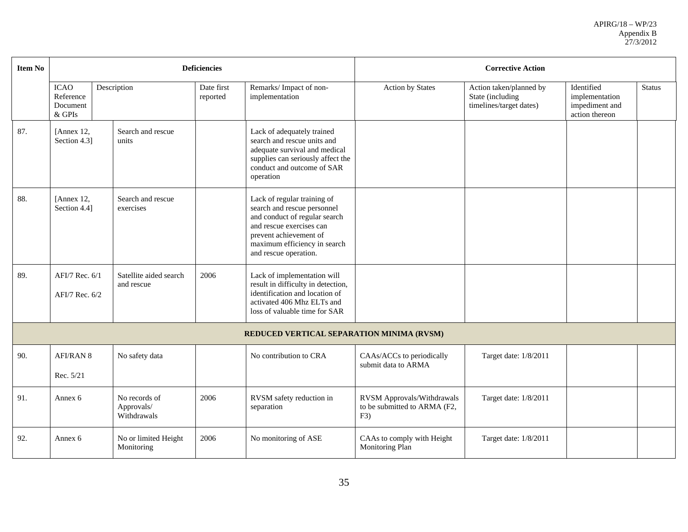| <b>Item No</b> |                                                |                                            | <b>Deficiencies</b>    |                                                                                                                                                                                                            | <b>Corrective Action</b>                                          |                                                                        |                                                                  |               |  |
|----------------|------------------------------------------------|--------------------------------------------|------------------------|------------------------------------------------------------------------------------------------------------------------------------------------------------------------------------------------------------|-------------------------------------------------------------------|------------------------------------------------------------------------|------------------------------------------------------------------|---------------|--|
|                | <b>ICAO</b><br>Reference<br>Document<br>& GPIs | Description                                | Date first<br>reported | Remarks/Impact of non-<br>implementation                                                                                                                                                                   | <b>Action by States</b>                                           | Action taken/planned by<br>State (including<br>timelines/target dates) | Identified<br>implementation<br>impediment and<br>action thereon | <b>Status</b> |  |
| 87.            | [Annex 12,<br>Section 4.3]                     | Search and rescue<br>units                 |                        | Lack of adequately trained<br>search and rescue units and<br>adequate survival and medical<br>supplies can seriously affect the<br>conduct and outcome of SAR<br>operation                                 |                                                                   |                                                                        |                                                                  |               |  |
| 88.            | [Annex 12.<br>Section 4.4]                     | Search and rescue<br>exercises             |                        | Lack of regular training of<br>search and rescue personnel<br>and conduct of regular search<br>and rescue exercises can<br>prevent achievement of<br>maximum efficiency in search<br>and rescue operation. |                                                                   |                                                                        |                                                                  |               |  |
| 89.            | AFI/7 Rec. 6/1<br>AFI/7 Rec. 6/2               | Satellite aided search<br>and rescue       | 2006                   | Lack of implementation will<br>result in difficulty in detection,<br>identification and location of<br>activated 406 Mhz ELTs and<br>loss of valuable time for SAR                                         |                                                                   |                                                                        |                                                                  |               |  |
|                |                                                |                                            |                        | REDUCED VERTICAL SEPARATION MINIMA (RVSM)                                                                                                                                                                  |                                                                   |                                                                        |                                                                  |               |  |
| 90.            | <b>AFI/RAN 8</b><br>Rec. 5/21                  | No safety data                             |                        | No contribution to CRA                                                                                                                                                                                     | CAAs/ACCs to periodically<br>submit data to ARMA                  | Target date: 1/8/2011                                                  |                                                                  |               |  |
| 91.            | Annex 6                                        | No records of<br>Approvals/<br>Withdrawals | 2006                   | RVSM safety reduction in<br>separation                                                                                                                                                                     | RVSM Approvals/Withdrawals<br>to be submitted to ARMA (F2,<br>F3) | Target date: 1/8/2011                                                  |                                                                  |               |  |
| 92.            | Annex 6                                        | No or limited Height<br>Monitoring         | 2006                   | No monitoring of ASE                                                                                                                                                                                       | CAAs to comply with Height<br>Monitoring Plan                     | Target date: 1/8/2011                                                  |                                                                  |               |  |